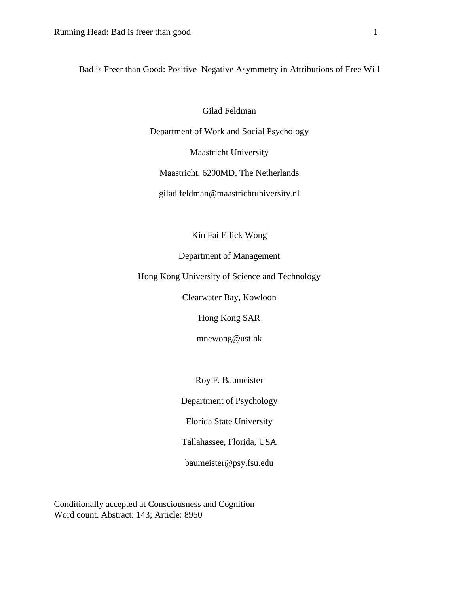Bad is Freer than Good: Positive–Negative Asymmetry in Attributions of Free Will

Gilad Feldman

Department of Work and Social Psychology

Maastricht University

Maastricht, 6200MD, The Netherlands

gilad.feldman@maastrichtuniversity.nl

Kin Fai Ellick Wong

Department of Management

Hong Kong University of Science and Technology

Clearwater Bay, Kowloon

Hong Kong SAR

mnewong@ust.hk

Roy F. Baumeister

Department of Psychology

Florida State University

Tallahassee, Florida, USA

baumeister@psy.fsu.edu

Conditionally accepted at Consciousness and Cognition Word count. Abstract: 143; Article: 8950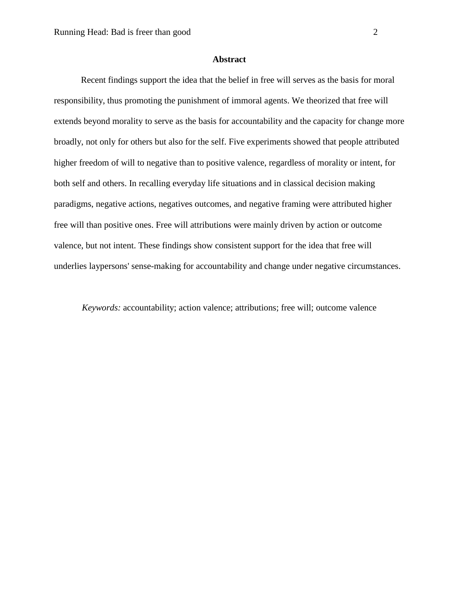#### **Abstract**

Recent findings support the idea that the belief in free will serves as the basis for moral responsibility, thus promoting the punishment of immoral agents. We theorized that free will extends beyond morality to serve as the basis for accountability and the capacity for change more broadly, not only for others but also for the self. Five experiments showed that people attributed higher freedom of will to negative than to positive valence, regardless of morality or intent, for both self and others. In recalling everyday life situations and in classical decision making paradigms, negative actions, negatives outcomes, and negative framing were attributed higher free will than positive ones. Free will attributions were mainly driven by action or outcome valence, but not intent. These findings show consistent support for the idea that free will underlies laypersons' sense-making for accountability and change under negative circumstances.

*Keywords:* accountability; action valence; attributions; free will; outcome valence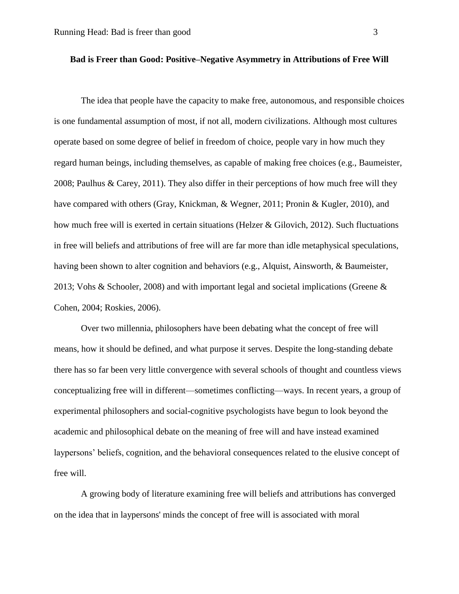The idea that people have the capacity to make free, autonomous, and responsible choices is one fundamental assumption of most, if not all, modern civilizations. Although most cultures operate based on some degree of belief in freedom of choice, people vary in how much they regard human beings, including themselves, as capable of making free choices (e.g., Baumeister, 2008; Paulhus & Carey, 2011). They also differ in their perceptions of how much free will they have compared with others (Gray, Knickman, & Wegner, 2011; Pronin & Kugler, 2010), and how much free will is exerted in certain situations (Helzer & Gilovich, 2012). Such fluctuations in free will beliefs and attributions of free will are far more than idle metaphysical speculations, having been shown to alter cognition and behaviors (e.g., Alquist, Ainsworth, & Baumeister, 2013; Vohs & Schooler, 2008) and with important legal and societal implications (Greene & Cohen, 2004; Roskies, 2006).

Over two millennia, philosophers have been debating what the concept of free will means, how it should be defined, and what purpose it serves. Despite the long-standing debate there has so far been very little convergence with several schools of thought and countless views conceptualizing free will in different—sometimes conflicting—ways. In recent years, a group of experimental philosophers and social-cognitive psychologists have begun to look beyond the academic and philosophical debate on the meaning of free will and have instead examined laypersons' beliefs, cognition, and the behavioral consequences related to the elusive concept of free will.

A growing body of literature examining free will beliefs and attributions has converged on the idea that in laypersons' minds the concept of free will is associated with moral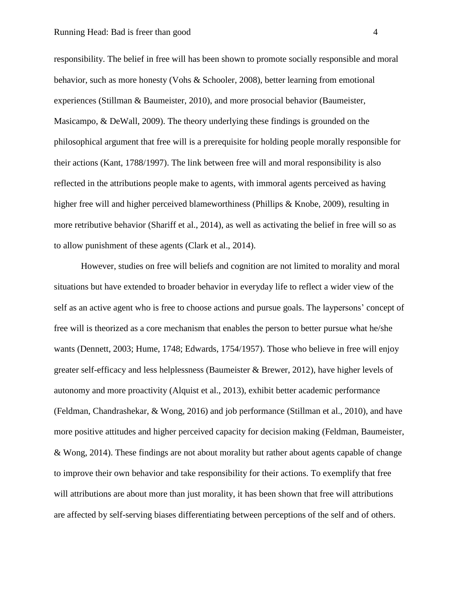responsibility. The belief in free will has been shown to promote socially responsible and moral behavior, such as more honesty (Vohs & Schooler, 2008), better learning from emotional experiences (Stillman & Baumeister, 2010), and more prosocial behavior (Baumeister, Masicampo, & DeWall, 2009). The theory underlying these findings is grounded on the philosophical argument that free will is a prerequisite for holding people morally responsible for their actions (Kant, 1788/1997). The link between free will and moral responsibility is also reflected in the attributions people make to agents, with immoral agents perceived as having higher free will and higher perceived blameworthiness (Phillips & Knobe, 2009), resulting in more retributive behavior (Shariff et al., 2014), as well as activating the belief in free will so as to allow punishment of these agents (Clark et al., 2014).

However, studies on free will beliefs and cognition are not limited to morality and moral situations but have extended to broader behavior in everyday life to reflect a wider view of the self as an active agent who is free to choose actions and pursue goals. The laypersons' concept of free will is theorized as a core mechanism that enables the person to better pursue what he/she wants (Dennett, 2003; Hume, 1748; Edwards, 1754/1957). Those who believe in free will enjoy greater self-efficacy and less helplessness (Baumeister & Brewer, 2012), have higher levels of autonomy and more proactivity (Alquist et al., 2013), exhibit better academic performance (Feldman, Chandrashekar, & Wong, 2016) and job performance (Stillman et al., 2010), and have more positive attitudes and higher perceived capacity for decision making (Feldman, Baumeister, & Wong, 2014). These findings are not about morality but rather about agents capable of change to improve their own behavior and take responsibility for their actions. To exemplify that free will attributions are about more than just morality, it has been shown that free will attributions are affected by self-serving biases differentiating between perceptions of the self and of others.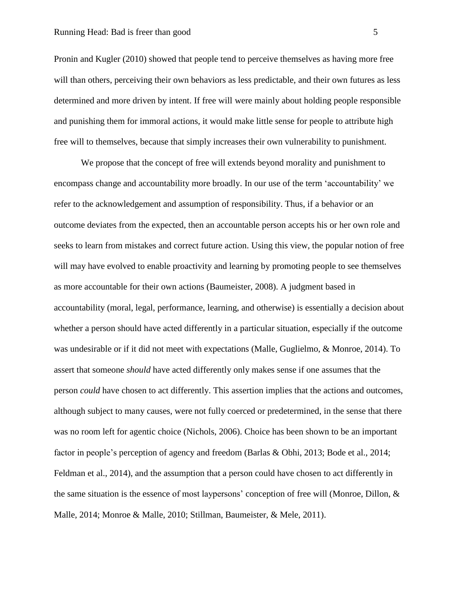#### Running Head: Bad is freer than good 5

Pronin and Kugler (2010) showed that people tend to perceive themselves as having more free will than others, perceiving their own behaviors as less predictable, and their own futures as less determined and more driven by intent. If free will were mainly about holding people responsible and punishing them for immoral actions, it would make little sense for people to attribute high free will to themselves, because that simply increases their own vulnerability to punishment.

We propose that the concept of free will extends beyond morality and punishment to encompass change and accountability more broadly. In our use of the term 'accountability' we refer to the acknowledgement and assumption of responsibility. Thus, if a behavior or an outcome deviates from the expected, then an accountable person accepts his or her own role and seeks to learn from mistakes and correct future action. Using this view, the popular notion of free will may have evolved to enable proactivity and learning by promoting people to see themselves as more accountable for their own actions (Baumeister, 2008). A judgment based in accountability (moral, legal, performance, learning, and otherwise) is essentially a decision about whether a person should have acted differently in a particular situation, especially if the outcome was undesirable or if it did not meet with expectations (Malle, Guglielmo, & Monroe, 2014). To assert that someone *should* have acted differently only makes sense if one assumes that the person *could* have chosen to act differently. This assertion implies that the actions and outcomes, although subject to many causes, were not fully coerced or predetermined, in the sense that there was no room left for agentic choice (Nichols, 2006). Choice has been shown to be an important factor in people's perception of agency and freedom (Barlas & Obhi, 2013; Bode et al., 2014; Feldman et al., 2014), and the assumption that a person could have chosen to act differently in the same situation is the essence of most laypersons' conception of free will (Monroe, Dillon,  $\&$ Malle, 2014; Monroe & Malle, 2010; Stillman, Baumeister, & Mele, 2011).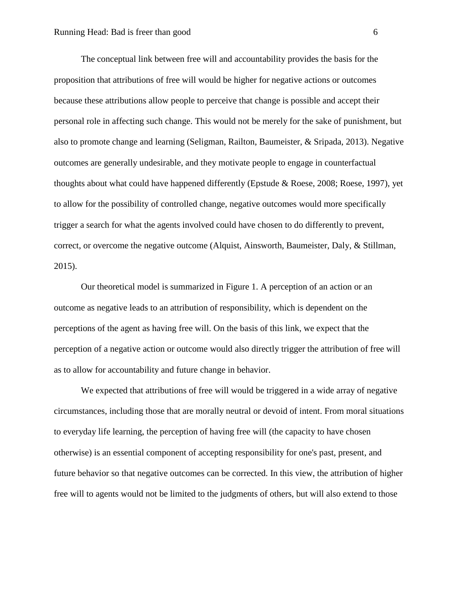The conceptual link between free will and accountability provides the basis for the proposition that attributions of free will would be higher for negative actions or outcomes because these attributions allow people to perceive that change is possible and accept their personal role in affecting such change. This would not be merely for the sake of punishment, but also to promote change and learning (Seligman, Railton, Baumeister, & Sripada, 2013). Negative outcomes are generally undesirable, and they motivate people to engage in counterfactual thoughts about what could have happened differently (Epstude & Roese, 2008; Roese, 1997), yet to allow for the possibility of controlled change, negative outcomes would more specifically trigger a search for what the agents involved could have chosen to do differently to prevent, correct, or overcome the negative outcome (Alquist, Ainsworth, Baumeister, Daly, & Stillman, 2015).

Our theoretical model is summarized in [Figure 1.](#page-47-0) A perception of an action or an outcome as negative leads to an attribution of responsibility, which is dependent on the perceptions of the agent as having free will. On the basis of this link, we expect that the perception of a negative action or outcome would also directly trigger the attribution of free will as to allow for accountability and future change in behavior.

We expected that attributions of free will would be triggered in a wide array of negative circumstances, including those that are morally neutral or devoid of intent. From moral situations to everyday life learning, the perception of having free will (the capacity to have chosen otherwise) is an essential component of accepting responsibility for one's past, present, and future behavior so that negative outcomes can be corrected. In this view, the attribution of higher free will to agents would not be limited to the judgments of others, but will also extend to those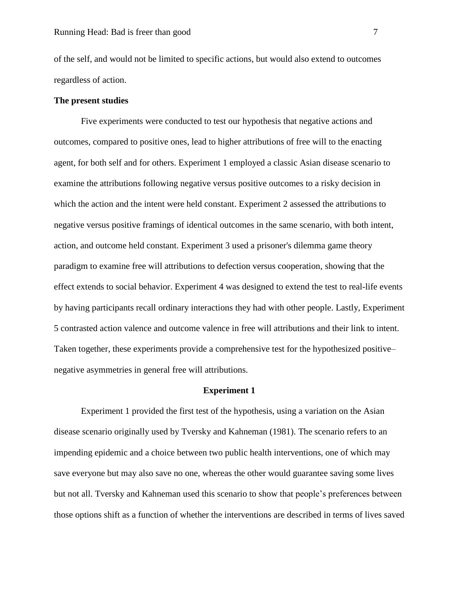of the self, and would not be limited to specific actions, but would also extend to outcomes regardless of action.

#### **The present studies**

Five experiments were conducted to test our hypothesis that negative actions and outcomes, compared to positive ones, lead to higher attributions of free will to the enacting agent, for both self and for others. Experiment 1 employed a classic Asian disease scenario to examine the attributions following negative versus positive outcomes to a risky decision in which the action and the intent were held constant. Experiment 2 assessed the attributions to negative versus positive framings of identical outcomes in the same scenario, with both intent, action, and outcome held constant. Experiment 3 used a prisoner's dilemma game theory paradigm to examine free will attributions to defection versus cooperation, showing that the effect extends to social behavior. Experiment 4 was designed to extend the test to real-life events by having participants recall ordinary interactions they had with other people. Lastly, Experiment 5 contrasted action valence and outcome valence in free will attributions and their link to intent. Taken together, these experiments provide a comprehensive test for the hypothesized positive– negative asymmetries in general free will attributions.

#### **Experiment 1**

Experiment 1 provided the first test of the hypothesis, using a variation on the Asian disease scenario originally used by Tversky and Kahneman (1981). The scenario refers to an impending epidemic and a choice between two public health interventions, one of which may save everyone but may also save no one, whereas the other would guarantee saving some lives but not all. Tversky and Kahneman used this scenario to show that people's preferences between those options shift as a function of whether the interventions are described in terms of lives saved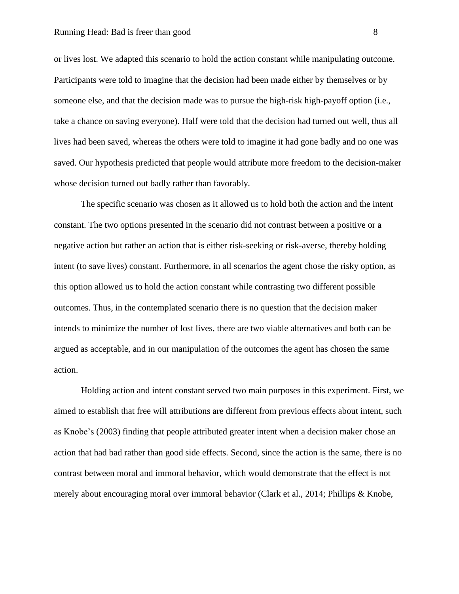or lives lost. We adapted this scenario to hold the action constant while manipulating outcome. Participants were told to imagine that the decision had been made either by themselves or by someone else, and that the decision made was to pursue the high-risk high-payoff option (i.e., take a chance on saving everyone). Half were told that the decision had turned out well, thus all lives had been saved, whereas the others were told to imagine it had gone badly and no one was saved. Our hypothesis predicted that people would attribute more freedom to the decision-maker whose decision turned out badly rather than favorably.

The specific scenario was chosen as it allowed us to hold both the action and the intent constant. The two options presented in the scenario did not contrast between a positive or a negative action but rather an action that is either risk-seeking or risk-averse, thereby holding intent (to save lives) constant. Furthermore, in all scenarios the agent chose the risky option, as this option allowed us to hold the action constant while contrasting two different possible outcomes. Thus, in the contemplated scenario there is no question that the decision maker intends to minimize the number of lost lives, there are two viable alternatives and both can be argued as acceptable, and in our manipulation of the outcomes the agent has chosen the same action.

Holding action and intent constant served two main purposes in this experiment. First, we aimed to establish that free will attributions are different from previous effects about intent, such as Knobe's (2003) finding that people attributed greater intent when a decision maker chose an action that had bad rather than good side effects. Second, since the action is the same, there is no contrast between moral and immoral behavior, which would demonstrate that the effect is not merely about encouraging moral over immoral behavior (Clark et al., 2014; Phillips & Knobe,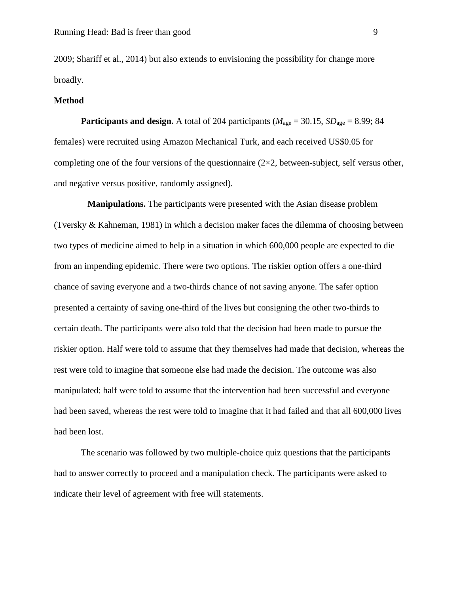2009; Shariff et al., 2014) but also extends to envisioning the possibility for change more broadly.

#### **Method**

**Participants and design.** A total of 204 participants ( $M_{\text{age}} = 30.15$ ,  $SD_{\text{age}} = 8.99$ ; 84 females) were recruited using Amazon Mechanical Turk, and each received US\$0.05 for completing one of the four versions of the questionnaire  $(2\times 2$ , between-subject, self versus other, and negative versus positive, randomly assigned).

**Manipulations.** The participants were presented with the Asian disease problem (Tversky & Kahneman, 1981) in which a decision maker faces the dilemma of choosing between two types of medicine aimed to help in a situation in which 600,000 people are expected to die from an impending epidemic. There were two options. The riskier option offers a one-third chance of saving everyone and a two-thirds chance of not saving anyone. The safer option presented a certainty of saving one-third of the lives but consigning the other two-thirds to certain death. The participants were also told that the decision had been made to pursue the riskier option. Half were told to assume that they themselves had made that decision, whereas the rest were told to imagine that someone else had made the decision. The outcome was also manipulated: half were told to assume that the intervention had been successful and everyone had been saved, whereas the rest were told to imagine that it had failed and that all 600,000 lives had been lost.

The scenario was followed by two multiple-choice quiz questions that the participants had to answer correctly to proceed and a manipulation check. The participants were asked to indicate their level of agreement with free will statements.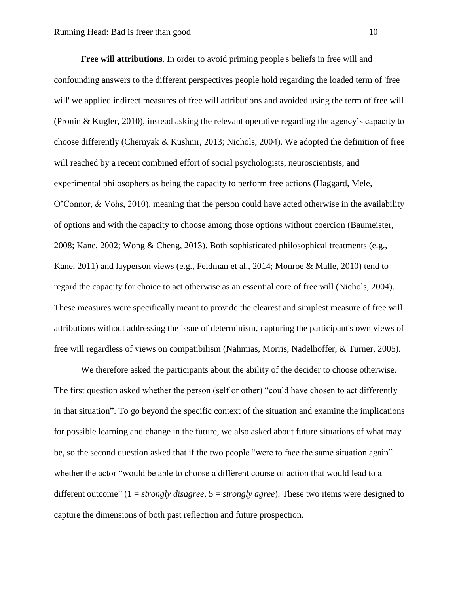**Free will attributions**. In order to avoid priming people's beliefs in free will and confounding answers to the different perspectives people hold regarding the loaded term of 'free will' we applied indirect measures of free will attributions and avoided using the term of free will (Pronin & Kugler, 2010), instead asking the relevant operative regarding the agency's capacity to choose differently (Chernyak & Kushnir, 2013; Nichols, 2004). We adopted the definition of free will reached by a recent combined effort of social psychologists, neuroscientists, and experimental philosophers as being the capacity to perform free actions (Haggard, Mele, O'Connor, & Vohs, 2010), meaning that the person could have acted otherwise in the availability of options and with the capacity to choose among those options without coercion (Baumeister, 2008; Kane, 2002; Wong & Cheng, 2013). Both sophisticated philosophical treatments (e.g., Kane, 2011) and layperson views (e.g., Feldman et al., 2014; Monroe & Malle, 2010) tend to regard the capacity for choice to act otherwise as an essential core of free will (Nichols, 2004). These measures were specifically meant to provide the clearest and simplest measure of free will attributions without addressing the issue of determinism, capturing the participant's own views of free will regardless of views on compatibilism (Nahmias, Morris, Nadelhoffer, & Turner, 2005).

We therefore asked the participants about the ability of the decider to choose otherwise. The first question asked whether the person (self or other) "could have chosen to act differently in that situation". To go beyond the specific context of the situation and examine the implications for possible learning and change in the future, we also asked about future situations of what may be, so the second question asked that if the two people "were to face the same situation again" whether the actor "would be able to choose a different course of action that would lead to a different outcome" (1 = *strongly disagree*, 5 = *strongly agree*). These two items were designed to capture the dimensions of both past reflection and future prospection.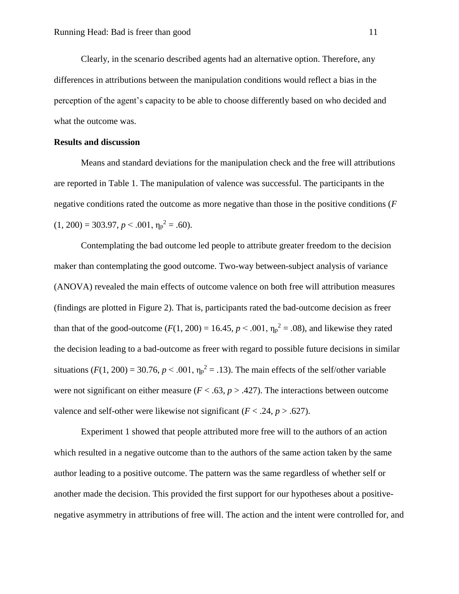Clearly, in the scenario described agents had an alternative option. Therefore, any differences in attributions between the manipulation conditions would reflect a bias in the perception of the agent's capacity to be able to choose differently based on who decided and what the outcome was.

#### **Results and discussion**

Means and standard deviations for the manipulation check and the free will attributions are reported in [Table 1.](#page-41-0) The manipulation of valence was successful. The participants in the negative conditions rated the outcome as more negative than those in the positive conditions (*F*  $(1, 200) = 303.97, p < .001, \eta_p^2 = .60$ .

Contemplating the bad outcome led people to attribute greater freedom to the decision maker than contemplating the good outcome. Two-way between-subject analysis of variance (ANOVA) revealed the main effects of outcome valence on both free will attribution measures (findings are plotted in [Figure 2\)](#page-48-0). That is, participants rated the bad-outcome decision as freer than that of the good-outcome ( $F(1, 200) = 16.45$ ,  $p < .001$ ,  $\eta_p^2 = .08$ ), and likewise they rated the decision leading to a bad-outcome as freer with regard to possible future decisions in similar situations  $(F(1, 200) = 30.76, p < .001, \eta_p^2 = .13)$ . The main effects of the self/other variable were not significant on either measure ( $F < .63$ ,  $p > .427$ ). The interactions between outcome valence and self-other were likewise not significant  $(F < .24, p > .627)$ .

Experiment 1 showed that people attributed more free will to the authors of an action which resulted in a negative outcome than to the authors of the same action taken by the same author leading to a positive outcome. The pattern was the same regardless of whether self or another made the decision. This provided the first support for our hypotheses about a positivenegative asymmetry in attributions of free will. The action and the intent were controlled for, and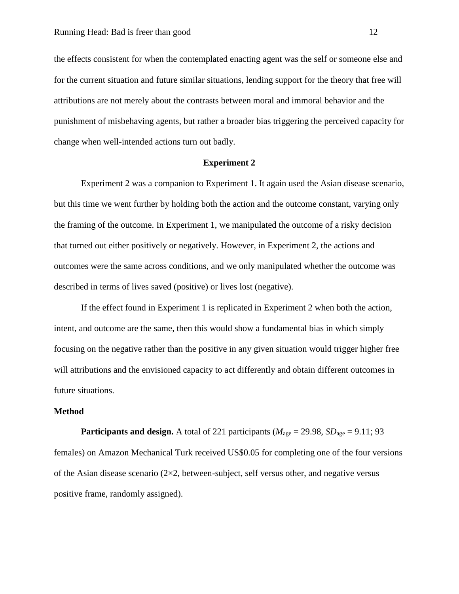the effects consistent for when the contemplated enacting agent was the self or someone else and for the current situation and future similar situations, lending support for the theory that free will attributions are not merely about the contrasts between moral and immoral behavior and the punishment of misbehaving agents, but rather a broader bias triggering the perceived capacity for change when well-intended actions turn out badly.

#### **Experiment 2**

Experiment 2 was a companion to Experiment 1. It again used the Asian disease scenario, but this time we went further by holding both the action and the outcome constant, varying only the framing of the outcome. In Experiment 1, we manipulated the outcome of a risky decision that turned out either positively or negatively. However, in Experiment 2, the actions and outcomes were the same across conditions, and we only manipulated whether the outcome was described in terms of lives saved (positive) or lives lost (negative).

If the effect found in Experiment 1 is replicated in Experiment 2 when both the action, intent, and outcome are the same, then this would show a fundamental bias in which simply focusing on the negative rather than the positive in any given situation would trigger higher free will attributions and the envisioned capacity to act differently and obtain different outcomes in future situations.

#### **Method**

**Participants and design.** A total of 221 participants ( $M_{\text{age}} = 29.98$ ,  $SD_{\text{age}} = 9.11$ ; 93 females) on Amazon Mechanical Turk received US\$0.05 for completing one of the four versions of the Asian disease scenario  $(2\times 2)$ , between-subject, self versus other, and negative versus positive frame, randomly assigned).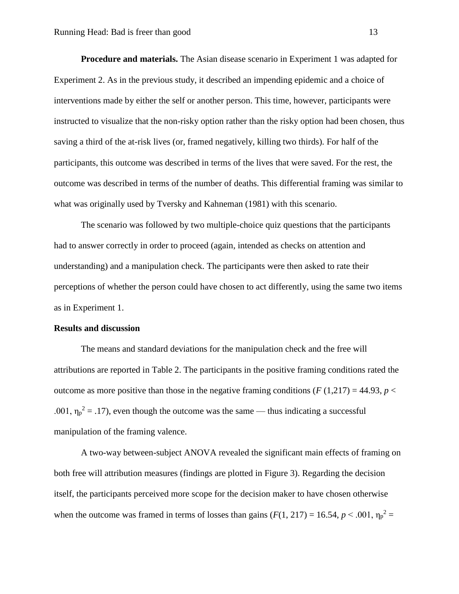**Procedure and materials.** The Asian disease scenario in Experiment 1 was adapted for Experiment 2. As in the previous study, it described an impending epidemic and a choice of interventions made by either the self or another person. This time, however, participants were instructed to visualize that the non-risky option rather than the risky option had been chosen, thus saving a third of the at-risk lives (or, framed negatively, killing two thirds). For half of the participants, this outcome was described in terms of the lives that were saved. For the rest, the outcome was described in terms of the number of deaths. This differential framing was similar to what was originally used by Tversky and Kahneman (1981) with this scenario.

The scenario was followed by two multiple-choice quiz questions that the participants had to answer correctly in order to proceed (again, intended as checks on attention and understanding) and a manipulation check. The participants were then asked to rate their perceptions of whether the person could have chosen to act differently, using the same two items as in Experiment 1.

#### **Results and discussion**

The means and standard deviations for the manipulation check and the free will attributions are reported in [Table 2.](#page-42-0) The participants in the positive framing conditions rated the outcome as more positive than those in the negative framing conditions ( $F(1,217) = 44.93$ ,  $p <$ .001,  $\eta_p^2 = 0.17$ , even though the outcome was the same — thus indicating a successful manipulation of the framing valence.

A two-way between-subject ANOVA revealed the significant main effects of framing on both free will attribution measures (findings are plotted in [Figure 3\)](#page-49-0). Regarding the decision itself, the participants perceived more scope for the decision maker to have chosen otherwise when the outcome was framed in terms of losses than gains  $(F(1, 217) = 16.54, p \le 0.001, \eta_p^2 =$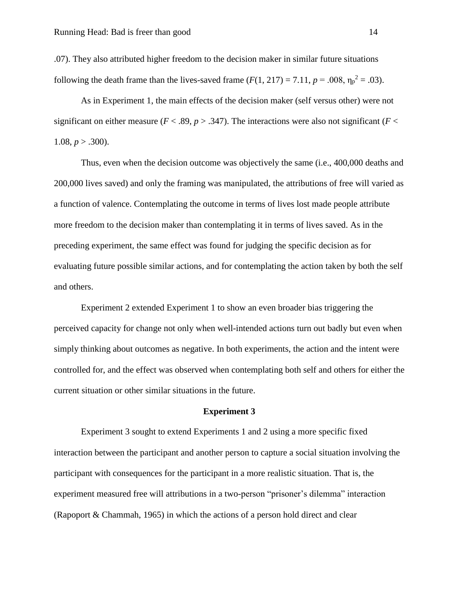.07). They also attributed higher freedom to the decision maker in similar future situations following the death frame than the lives-saved frame  $(F(1, 217) = 7.11, p = .008, \eta_p^2 = .03)$ .

As in Experiment 1, the main effects of the decision maker (self versus other) were not significant on either measure ( $F < .89$ ,  $p > .347$ ). The interactions were also not significant ( $F <$ 1.08,  $p > .300$ ).

Thus, even when the decision outcome was objectively the same (i.e., 400,000 deaths and 200,000 lives saved) and only the framing was manipulated, the attributions of free will varied as a function of valence. Contemplating the outcome in terms of lives lost made people attribute more freedom to the decision maker than contemplating it in terms of lives saved. As in the preceding experiment, the same effect was found for judging the specific decision as for evaluating future possible similar actions, and for contemplating the action taken by both the self and others.

Experiment 2 extended Experiment 1 to show an even broader bias triggering the perceived capacity for change not only when well-intended actions turn out badly but even when simply thinking about outcomes as negative. In both experiments, the action and the intent were controlled for, and the effect was observed when contemplating both self and others for either the current situation or other similar situations in the future.

#### **Experiment 3**

Experiment 3 sought to extend Experiments 1 and 2 using a more specific fixed interaction between the participant and another person to capture a social situation involving the participant with consequences for the participant in a more realistic situation. That is, the experiment measured free will attributions in a two-person "prisoner's dilemma" interaction (Rapoport & Chammah, 1965) in which the actions of a person hold direct and clear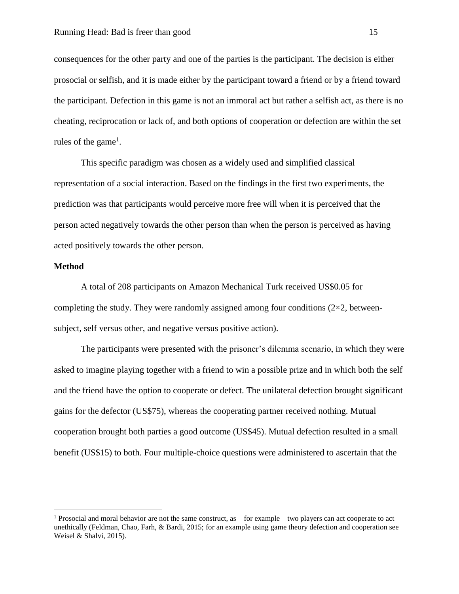consequences for the other party and one of the parties is the participant. The decision is either prosocial or selfish, and it is made either by the participant toward a friend or by a friend toward the participant. Defection in this game is not an immoral act but rather a selfish act, as there is no cheating, reciprocation or lack of, and both options of cooperation or defection are within the set rules of the game<sup>1</sup>.

This specific paradigm was chosen as a widely used and simplified classical representation of a social interaction. Based on the findings in the first two experiments, the prediction was that participants would perceive more free will when it is perceived that the person acted negatively towards the other person than when the person is perceived as having acted positively towards the other person.

#### **Method**

 $\overline{a}$ 

A total of 208 participants on Amazon Mechanical Turk received US\$0.05 for completing the study. They were randomly assigned among four conditions  $(2\times 2, \text{ between} -1)$ subject, self versus other, and negative versus positive action).

The participants were presented with the prisoner's dilemma scenario, in which they were asked to imagine playing together with a friend to win a possible prize and in which both the self and the friend have the option to cooperate or defect. The unilateral defection brought significant gains for the defector (US\$75), whereas the cooperating partner received nothing. Mutual cooperation brought both parties a good outcome (US\$45). Mutual defection resulted in a small benefit (US\$15) to both. Four multiple-choice questions were administered to ascertain that the

<sup>&</sup>lt;sup>1</sup> Prosocial and moral behavior are not the same construct, as  $-$  for example  $-$  two players can act cooperate to act unethically (Feldman, Chao, Farh, & Bardi, 2015; for an example using game theory defection and cooperation see Weisel & Shalvi, 2015).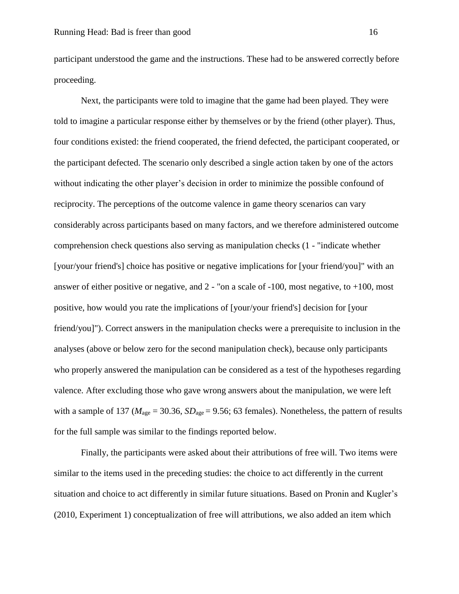participant understood the game and the instructions. These had to be answered correctly before proceeding.

Next, the participants were told to imagine that the game had been played. They were told to imagine a particular response either by themselves or by the friend (other player). Thus, four conditions existed: the friend cooperated, the friend defected, the participant cooperated, or the participant defected. The scenario only described a single action taken by one of the actors without indicating the other player's decision in order to minimize the possible confound of reciprocity. The perceptions of the outcome valence in game theory scenarios can vary considerably across participants based on many factors, and we therefore administered outcome comprehension check questions also serving as manipulation checks (1 - "indicate whether [your/your friend's] choice has positive or negative implications for [your friend/you]" with an answer of either positive or negative, and  $2 -$  "on a scale of  $-100$ , most negative, to  $+100$ , most positive, how would you rate the implications of [your/your friend's] decision for [your friend/you]"). Correct answers in the manipulation checks were a prerequisite to inclusion in the analyses (above or below zero for the second manipulation check), because only participants who properly answered the manipulation can be considered as a test of the hypotheses regarding valence. After excluding those who gave wrong answers about the manipulation, we were left with a sample of 137 ( $M_{\text{age}} = 30.36$ ,  $SD_{\text{age}} = 9.56$ ; 63 females). Nonetheless, the pattern of results for the full sample was similar to the findings reported below.

Finally, the participants were asked about their attributions of free will. Two items were similar to the items used in the preceding studies: the choice to act differently in the current situation and choice to act differently in similar future situations. Based on Pronin and Kugler's (2010, Experiment 1) conceptualization of free will attributions, we also added an item which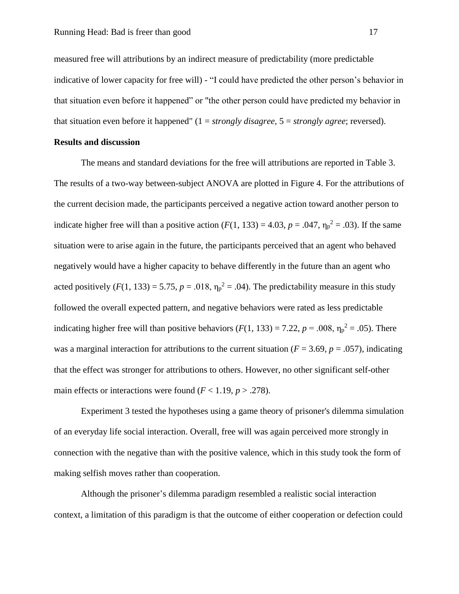measured free will attributions by an indirect measure of predictability (more predictable indicative of lower capacity for free will) - "I could have predicted the other person's behavior in that situation even before it happened" or "the other person could have predicted my behavior in that situation even before it happened" (1 = *strongly disagree*, 5 = *strongly agree*; reversed).

#### **Results and discussion**

The means and standard deviations for the free will attributions are reported in [Table 3.](#page-43-0) The results of a two-way between-subject ANOVA are plotted in [Figure 4.](#page-50-0) For the attributions of the current decision made, the participants perceived a negative action toward another person to indicate higher free will than a positive action  $(F(1, 133) = 4.03, p = .047, \eta_p^2 = .03)$ . If the same situation were to arise again in the future, the participants perceived that an agent who behaved negatively would have a higher capacity to behave differently in the future than an agent who acted positively  $(F(1, 133) = 5.75, p = .018, \eta_p^2 = .04)$ . The predictability measure in this study followed the overall expected pattern, and negative behaviors were rated as less predictable indicating higher free will than positive behaviors  $(F(1, 133) = 7.22, p = .008, \eta_p^2 = .05)$ . There was a marginal interaction for attributions to the current situation ( $F = 3.69$ ,  $p = .057$ ), indicating that the effect was stronger for attributions to others. However, no other significant self-other main effects or interactions were found  $(F < 1.19, p > .278)$ .

Experiment 3 tested the hypotheses using a game theory of prisoner's dilemma simulation of an everyday life social interaction. Overall, free will was again perceived more strongly in connection with the negative than with the positive valence, which in this study took the form of making selfish moves rather than cooperation.

Although the prisoner's dilemma paradigm resembled a realistic social interaction context, a limitation of this paradigm is that the outcome of either cooperation or defection could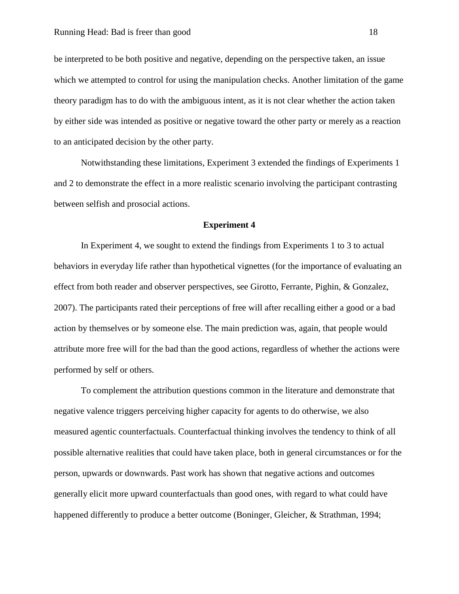be interpreted to be both positive and negative, depending on the perspective taken, an issue which we attempted to control for using the manipulation checks. Another limitation of the game theory paradigm has to do with the ambiguous intent, as it is not clear whether the action taken by either side was intended as positive or negative toward the other party or merely as a reaction to an anticipated decision by the other party.

Notwithstanding these limitations, Experiment 3 extended the findings of Experiments 1 and 2 to demonstrate the effect in a more realistic scenario involving the participant contrasting between selfish and prosocial actions.

#### **Experiment 4**

In Experiment 4, we sought to extend the findings from Experiments 1 to 3 to actual behaviors in everyday life rather than hypothetical vignettes (for the importance of evaluating an effect from both reader and observer perspectives, see Girotto, Ferrante, Pighin, & Gonzalez, 2007). The participants rated their perceptions of free will after recalling either a good or a bad action by themselves or by someone else. The main prediction was, again, that people would attribute more free will for the bad than the good actions, regardless of whether the actions were performed by self or others.

To complement the attribution questions common in the literature and demonstrate that negative valence triggers perceiving higher capacity for agents to do otherwise, we also measured agentic counterfactuals. Counterfactual thinking involves the tendency to think of all possible alternative realities that could have taken place, both in general circumstances or for the person, upwards or downwards. Past work has shown that negative actions and outcomes generally elicit more upward counterfactuals than good ones, with regard to what could have happened differently to produce a better outcome (Boninger, Gleicher, & Strathman, 1994;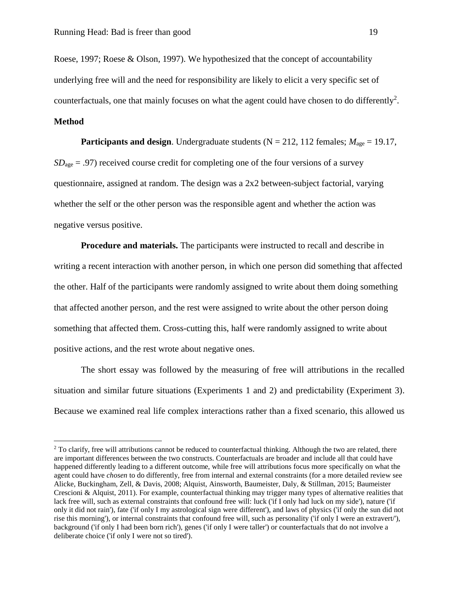Roese, 1997; Roese & Olson, 1997). We hypothesized that the concept of accountability underlying free will and the need for responsibility are likely to elicit a very specific set of counterfactuals, one that mainly focuses on what the agent could have chosen to do differently<sup>2</sup>.

### **Method**

 $\overline{a}$ 

**Participants and design.** Undergraduate students ( $N = 212$ , 112 females;  $M_{\text{age}} = 19.17$ ,  $SD<sub>age</sub> = .97$ ) received course credit for completing one of the four versions of a survey questionnaire, assigned at random. The design was a 2x2 between-subject factorial, varying whether the self or the other person was the responsible agent and whether the action was negative versus positive.

**Procedure and materials.** The participants were instructed to recall and describe in writing a recent interaction with another person, in which one person did something that affected the other. Half of the participants were randomly assigned to write about them doing something that affected another person, and the rest were assigned to write about the other person doing something that affected them. Cross-cutting this, half were randomly assigned to write about positive actions, and the rest wrote about negative ones.

The short essay was followed by the measuring of free will attributions in the recalled situation and similar future situations (Experiments 1 and 2) and predictability (Experiment 3). Because we examined real life complex interactions rather than a fixed scenario, this allowed us

 $2$  To clarify, free will attributions cannot be reduced to counterfactual thinking. Although the two are related, there are important differences between the two constructs. Counterfactuals are broader and include all that could have happened differently leading to a different outcome, while free will attributions focus more specifically on what the agent could have *chosen* to do differently, free from internal and external constraints (for a more detailed review see Alicke, Buckingham, Zell, & Davis, 2008; Alquist, Ainsworth, Baumeister, Daly, & Stillman, 2015; Baumeister Crescioni & Alquist, 2011). For example, counterfactual thinking may trigger many types of alternative realities that lack free will, such as external constraints that confound free will: luck ('if I only had luck on my side'), nature ('if only it did not rain'), fate ('if only I my astrological sign were different'), and laws of physics ('if only the sun did not rise this morning'), or internal constraints that confound free will, such as personality ('if only I were an extravert/'), background ('if only I had been born rich'), genes ('if only I were taller') or counterfactuals that do not involve a deliberate choice ('if only I were not so tired').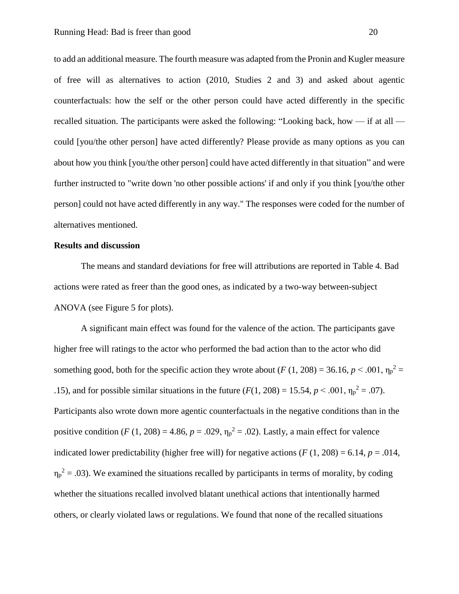to add an additional measure. The fourth measure was adapted from the Pronin and Kugler measure of free will as alternatives to action (2010, Studies 2 and 3) and asked about agentic counterfactuals: how the self or the other person could have acted differently in the specific recalled situation. The participants were asked the following: "Looking back, how — if at all could [you/the other person] have acted differently? Please provide as many options as you can about how you think [you/the other person] could have acted differently in that situation" and were further instructed to "write down 'no other possible actions' if and only if you think [you/the other person] could not have acted differently in any way." The responses were coded for the number of alternatives mentioned.

#### **Results and discussion**

The means and standard deviations for free will attributions are reported in [Table 4.](#page-44-0) Bad actions were rated as freer than the good ones, as indicated by a two-way between-subject ANOVA (see [Figure 5](#page-51-0) for plots).

A significant main effect was found for the valence of the action. The participants gave higher free will ratings to the actor who performed the bad action than to the actor who did something good, both for the specific action they wrote about (*F* (1, 208) = 36.16,  $p < .001$ ,  $\eta_p^2$  = .15), and for possible similar situations in the future  $(F(1, 208) = 15.54, p < .001, \eta_p^2 = .07)$ . Participants also wrote down more agentic counterfactuals in the negative conditions than in the positive condition (*F* (1, 208) = 4.86,  $p = .029$ ,  $\eta_p^2 = .02$ ). Lastly, a main effect for valence indicated lower predictability (higher free will) for negative actions  $(F(1, 208) = 6.14, p = .014,$  $\eta_p^2 = 0.03$ ). We examined the situations recalled by participants in terms of morality, by coding whether the situations recalled involved blatant unethical actions that intentionally harmed others, or clearly violated laws or regulations. We found that none of the recalled situations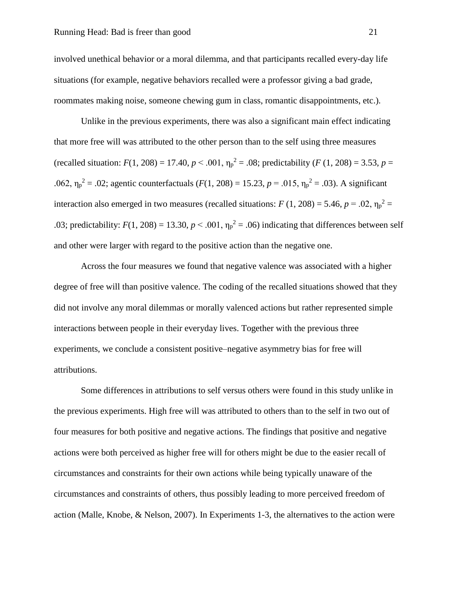involved unethical behavior or a moral dilemma, and that participants recalled every-day life situations (for example, negative behaviors recalled were a professor giving a bad grade, roommates making noise, someone chewing gum in class, romantic disappointments, etc.).

Unlike in the previous experiments, there was also a significant main effect indicating that more free will was attributed to the other person than to the self using three measures (recalled situation:  $F(1, 208) = 17.40$ ,  $p < .001$ ,  $\eta_p^2 = .08$ ; predictability ( $F(1, 208) = 3.53$ ,  $p =$ .062,  $\eta_p^2 = .02$ ; agentic counterfactuals (*F*(1, 208) = 15.23, *p* = .015,  $\eta_p^2 = .03$ ). A significant interaction also emerged in two measures (recalled situations:  $F(1, 208) = 5.46$ ,  $p = .02$ ,  $\eta_p^2 =$ .03; predictability:  $F(1, 208) = 13.30$ ,  $p < .001$ ,  $\eta_p^2 = .06$ ) indicating that differences between self and other were larger with regard to the positive action than the negative one.

Across the four measures we found that negative valence was associated with a higher degree of free will than positive valence. The coding of the recalled situations showed that they did not involve any moral dilemmas or morally valenced actions but rather represented simple interactions between people in their everyday lives. Together with the previous three experiments, we conclude a consistent positive–negative asymmetry bias for free will attributions.

Some differences in attributions to self versus others were found in this study unlike in the previous experiments. High free will was attributed to others than to the self in two out of four measures for both positive and negative actions. The findings that positive and negative actions were both perceived as higher free will for others might be due to the easier recall of circumstances and constraints for their own actions while being typically unaware of the circumstances and constraints of others, thus possibly leading to more perceived freedom of action (Malle, Knobe, & Nelson, 2007). In Experiments 1-3, the alternatives to the action were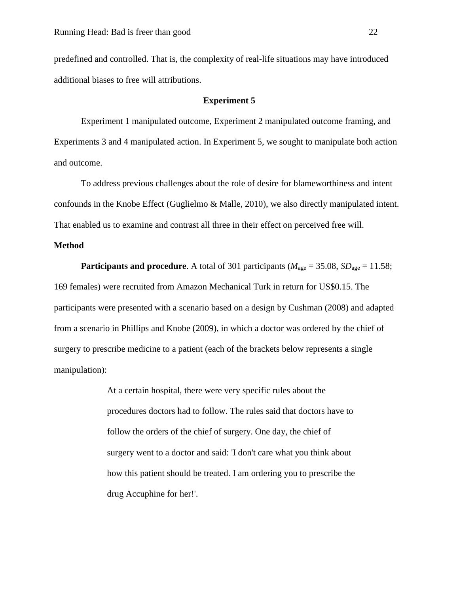predefined and controlled. That is, the complexity of real-life situations may have introduced additional biases to free will attributions.

#### **Experiment 5**

Experiment 1 manipulated outcome, Experiment 2 manipulated outcome framing, and Experiments 3 and 4 manipulated action. In Experiment 5, we sought to manipulate both action and outcome.

To address previous challenges about the role of desire for blameworthiness and intent confounds in the Knobe Effect (Guglielmo & Malle, 2010), we also directly manipulated intent. That enabled us to examine and contrast all three in their effect on perceived free will.

#### **Method**

**Participants and procedure**. A total of 301 participants ( $M_{\text{age}} = 35.08$ ,  $SD_{\text{age}} = 11.58$ ; 169 females) were recruited from Amazon Mechanical Turk in return for US\$0.15. The participants were presented with a scenario based on a design by Cushman (2008) and adapted from a scenario in Phillips and Knobe (2009), in which a doctor was ordered by the chief of surgery to prescribe medicine to a patient (each of the brackets below represents a single manipulation):

> At a certain hospital, there were very specific rules about the procedures doctors had to follow. The rules said that doctors have to follow the orders of the chief of surgery. One day, the chief of surgery went to a doctor and said: 'I don't care what you think about how this patient should be treated. I am ordering you to prescribe the drug Accuphine for her!'.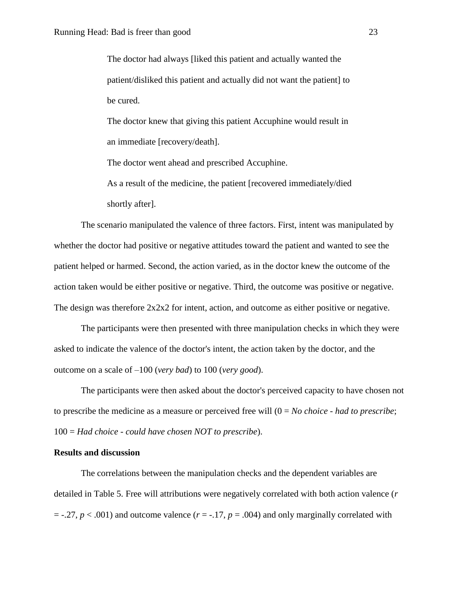The doctor had always [liked this patient and actually wanted the patient/disliked this patient and actually did not want the patient] to be cured.

The doctor knew that giving this patient Accuphine would result in an immediate [recovery/death].

The doctor went ahead and prescribed Accuphine.

As a result of the medicine, the patient [recovered immediately/died shortly after].

The scenario manipulated the valence of three factors. First, intent was manipulated by whether the doctor had positive or negative attitudes toward the patient and wanted to see the patient helped or harmed. Second, the action varied, as in the doctor knew the outcome of the action taken would be either positive or negative. Third, the outcome was positive or negative. The design was therefore  $2x2x2$  for intent, action, and outcome as either positive or negative.

The participants were then presented with three manipulation checks in which they were asked to indicate the valence of the doctor's intent, the action taken by the doctor, and the outcome on a scale of –100 (*very bad*) to 100 (*very good*).

The participants were then asked about the doctor's perceived capacity to have chosen not to prescribe the medicine as a measure or perceived free will (0 = *No choice - had to prescribe*; 100 = *Had choice - could have chosen NOT to prescribe*).

#### **Results and discussion**

The correlations between the manipulation checks and the dependent variables are detailed in [Table 5.](#page-45-0) Free will attributions were negatively correlated with both action valence (*r*  $=$  -.27,  $p < .001$ ) and outcome valence ( $r = .17$ ,  $p = .004$ ) and only marginally correlated with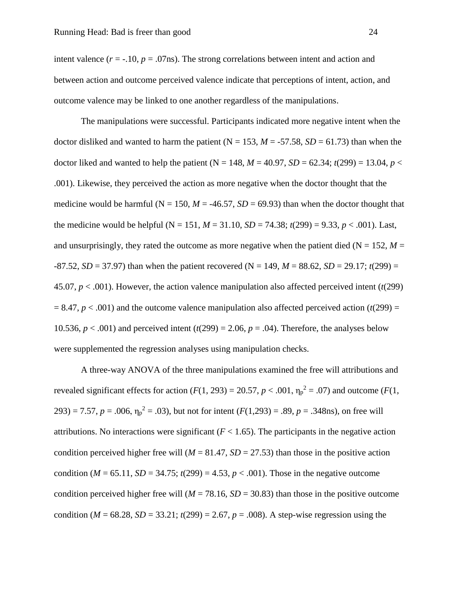intent valence  $(r = -10, p = .07$ ns). The strong correlations between intent and action and between action and outcome perceived valence indicate that perceptions of intent, action, and outcome valence may be linked to one another regardless of the manipulations.

The manipulations were successful. Participants indicated more negative intent when the doctor disliked and wanted to harm the patient ( $N = 153$ ,  $M = -57.58$ ,  $SD = 61.73$ ) than when the doctor liked and wanted to help the patient (N = 148,  $M = 40.97$ ,  $SD = 62.34$ ;  $t(299) = 13.04$ ,  $p <$ .001). Likewise, they perceived the action as more negative when the doctor thought that the medicine would be harmful ( $N = 150$ ,  $M = -46.57$ ,  $SD = 69.93$ ) than when the doctor thought that the medicine would be helpful (N = 151,  $M = 31.10$ ,  $SD = 74.38$ ;  $t(299) = 9.33$ ,  $p < .001$ ). Last, and unsurprisingly, they rated the outcome as more negative when the patient died ( $N = 152$ ,  $M =$  $-87.52$ , *SD* = 37.97) than when the patient recovered (N = 149, *M* = 88.62, *SD* = 29.17; *t*(299) = 45.07, *p* < .001). However, the action valence manipulation also affected perceived intent (*t*(299)  $= 8.47, p < .001$ ) and the outcome valence manipulation also affected perceived action ( $t(299) =$ 10.536,  $p < .001$ ) and perceived intent ( $t(299) = 2.06$ ,  $p = .04$ ). Therefore, the analyses below were supplemented the regression analyses using manipulation checks.

A three-way ANOVA of the three manipulations examined the free will attributions and revealed significant effects for action  $(F(1, 293) = 20.57, p < .001, \eta_p^2 = .07)$  and outcome  $(F(1, 293) = 20.57, p < .001, \eta_p^2 = .07)$ 293) = 7.57,  $p = .006$ ,  $\eta_p^2 = .03$ ), but not for intent ( $F(1,293) = .89$ ,  $p = .348$ ns), on free will attributions. No interactions were significant  $(F < 1.65)$ . The participants in the negative action condition perceived higher free will ( $M = 81.47$ ,  $SD = 27.53$ ) than those in the positive action condition ( $M = 65.11$ ,  $SD = 34.75$ ;  $t(299) = 4.53$ ,  $p < .001$ ). Those in the negative outcome condition perceived higher free will ( $M = 78.16$ ,  $SD = 30.83$ ) than those in the positive outcome condition ( $M = 68.28$ ,  $SD = 33.21$ ;  $t(299) = 2.67$ ,  $p = .008$ ). A step-wise regression using the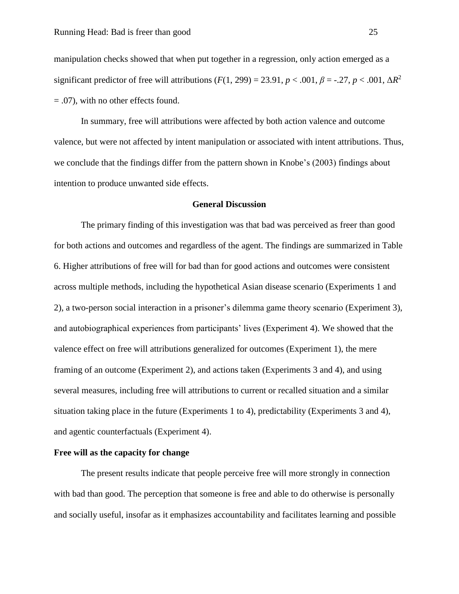manipulation checks showed that when put together in a regression, only action emerged as a significant predictor of free will attributions  $(F(1, 299) = 23.91, p < .001, \beta = -.27, p < .001, \Delta R^2$ = .07), with no other effects found.

In summary, free will attributions were affected by both action valence and outcome valence, but were not affected by intent manipulation or associated with intent attributions. Thus, we conclude that the findings differ from the pattern shown in Knobe's (2003) findings about intention to produce unwanted side effects.

#### **General Discussion**

The primary finding of this investigation was that bad was perceived as freer than good for both actions and outcomes and regardless of the agent. The findings are summarized in [Table](#page-46-0)  [6.](#page-46-0) Higher attributions of free will for bad than for good actions and outcomes were consistent across multiple methods, including the hypothetical Asian disease scenario (Experiments 1 and 2), a two-person social interaction in a prisoner's dilemma game theory scenario (Experiment 3), and autobiographical experiences from participants' lives (Experiment 4). We showed that the valence effect on free will attributions generalized for outcomes (Experiment 1), the mere framing of an outcome (Experiment 2), and actions taken (Experiments 3 and 4), and using several measures, including free will attributions to current or recalled situation and a similar situation taking place in the future (Experiments 1 to 4), predictability (Experiments 3 and 4), and agentic counterfactuals (Experiment 4).

#### **Free will as the capacity for change**

The present results indicate that people perceive free will more strongly in connection with bad than good. The perception that someone is free and able to do otherwise is personally and socially useful, insofar as it emphasizes accountability and facilitates learning and possible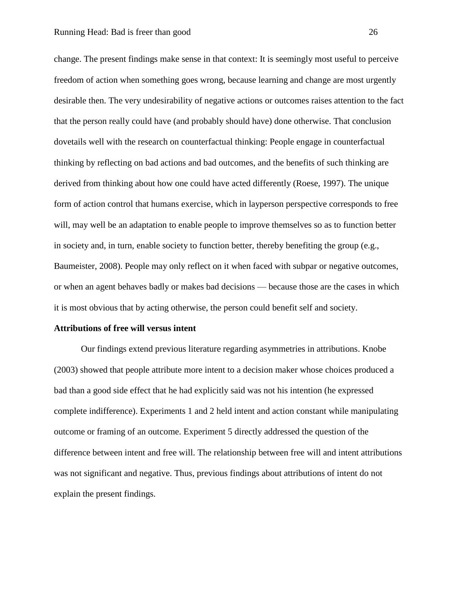change. The present findings make sense in that context: It is seemingly most useful to perceive freedom of action when something goes wrong, because learning and change are most urgently desirable then. The very undesirability of negative actions or outcomes raises attention to the fact that the person really could have (and probably should have) done otherwise. That conclusion dovetails well with the research on counterfactual thinking: People engage in counterfactual thinking by reflecting on bad actions and bad outcomes, and the benefits of such thinking are derived from thinking about how one could have acted differently (Roese, 1997). The unique form of action control that humans exercise, which in layperson perspective corresponds to free will, may well be an adaptation to enable people to improve themselves so as to function better in society and, in turn, enable society to function better, thereby benefiting the group (e.g., Baumeister, 2008). People may only reflect on it when faced with subpar or negative outcomes, or when an agent behaves badly or makes bad decisions — because those are the cases in which it is most obvious that by acting otherwise, the person could benefit self and society.

#### **Attributions of free will versus intent**

Our findings extend previous literature regarding asymmetries in attributions. Knobe (2003) showed that people attribute more intent to a decision maker whose choices produced a bad than a good side effect that he had explicitly said was not his intention (he expressed complete indifference). Experiments 1 and 2 held intent and action constant while manipulating outcome or framing of an outcome. Experiment 5 directly addressed the question of the difference between intent and free will. The relationship between free will and intent attributions was not significant and negative. Thus, previous findings about attributions of intent do not explain the present findings.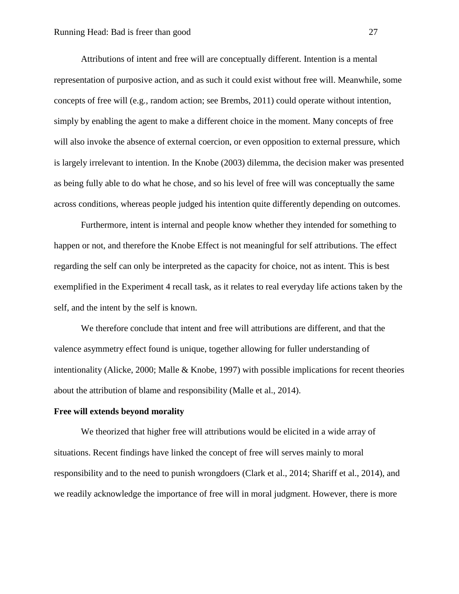Attributions of intent and free will are conceptually different. Intention is a mental representation of purposive action, and as such it could exist without free will. Meanwhile, some concepts of free will (e.g., random action; see Brembs, 2011) could operate without intention, simply by enabling the agent to make a different choice in the moment. Many concepts of free will also invoke the absence of external coercion, or even opposition to external pressure, which is largely irrelevant to intention. In the Knobe (2003) dilemma, the decision maker was presented as being fully able to do what he chose, and so his level of free will was conceptually the same across conditions, whereas people judged his intention quite differently depending on outcomes.

Furthermore, intent is internal and people know whether they intended for something to happen or not, and therefore the Knobe Effect is not meaningful for self attributions. The effect regarding the self can only be interpreted as the capacity for choice, not as intent. This is best exemplified in the Experiment 4 recall task, as it relates to real everyday life actions taken by the self, and the intent by the self is known.

We therefore conclude that intent and free will attributions are different, and that the valence asymmetry effect found is unique, together allowing for fuller understanding of intentionality (Alicke, 2000; Malle & Knobe, 1997) with possible implications for recent theories about the attribution of blame and responsibility (Malle et al., 2014).

#### **Free will extends beyond morality**

We theorized that higher free will attributions would be elicited in a wide array of situations. Recent findings have linked the concept of free will serves mainly to moral responsibility and to the need to punish wrongdoers (Clark et al., 2014; Shariff et al., 2014), and we readily acknowledge the importance of free will in moral judgment. However, there is more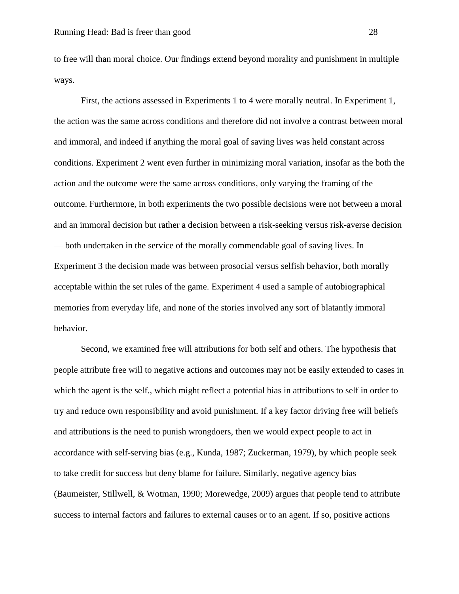to free will than moral choice. Our findings extend beyond morality and punishment in multiple ways.

First, the actions assessed in Experiments 1 to 4 were morally neutral. In Experiment 1, the action was the same across conditions and therefore did not involve a contrast between moral and immoral, and indeed if anything the moral goal of saving lives was held constant across conditions. Experiment 2 went even further in minimizing moral variation, insofar as the both the action and the outcome were the same across conditions, only varying the framing of the outcome. Furthermore, in both experiments the two possible decisions were not between a moral and an immoral decision but rather a decision between a risk-seeking versus risk-averse decision — both undertaken in the service of the morally commendable goal of saving lives. In Experiment 3 the decision made was between prosocial versus selfish behavior, both morally acceptable within the set rules of the game. Experiment 4 used a sample of autobiographical memories from everyday life, and none of the stories involved any sort of blatantly immoral behavior.

Second, we examined free will attributions for both self and others. The hypothesis that people attribute free will to negative actions and outcomes may not be easily extended to cases in which the agent is the self., which might reflect a potential bias in attributions to self in order to try and reduce own responsibility and avoid punishment. If a key factor driving free will beliefs and attributions is the need to punish wrongdoers, then we would expect people to act in accordance with self-serving bias (e.g., Kunda, 1987; Zuckerman, 1979), by which people seek to take credit for success but deny blame for failure. Similarly, negative agency bias (Baumeister, Stillwell, & Wotman, 1990; Morewedge, 2009) argues that people tend to attribute success to internal factors and failures to external causes or to an agent. If so, positive actions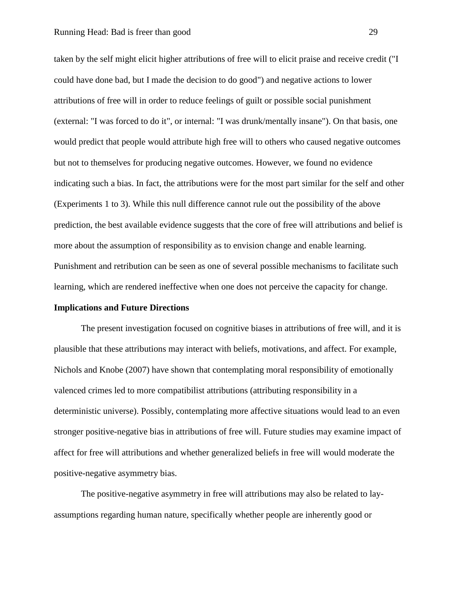taken by the self might elicit higher attributions of free will to elicit praise and receive credit ("I could have done bad, but I made the decision to do good") and negative actions to lower attributions of free will in order to reduce feelings of guilt or possible social punishment (external: "I was forced to do it", or internal: "I was drunk/mentally insane"). On that basis, one would predict that people would attribute high free will to others who caused negative outcomes but not to themselves for producing negative outcomes. However, we found no evidence indicating such a bias. In fact, the attributions were for the most part similar for the self and other (Experiments 1 to 3). While this null difference cannot rule out the possibility of the above prediction, the best available evidence suggests that the core of free will attributions and belief is more about the assumption of responsibility as to envision change and enable learning. Punishment and retribution can be seen as one of several possible mechanisms to facilitate such learning, which are rendered ineffective when one does not perceive the capacity for change.

#### **Implications and Future Directions**

The present investigation focused on cognitive biases in attributions of free will, and it is plausible that these attributions may interact with beliefs, motivations, and affect. For example, Nichols and Knobe (2007) have shown that contemplating moral responsibility of emotionally valenced crimes led to more compatibilist attributions (attributing responsibility in a deterministic universe). Possibly, contemplating more affective situations would lead to an even stronger positive-negative bias in attributions of free will. Future studies may examine impact of affect for free will attributions and whether generalized beliefs in free will would moderate the positive-negative asymmetry bias.

The positive-negative asymmetry in free will attributions may also be related to layassumptions regarding human nature, specifically whether people are inherently good or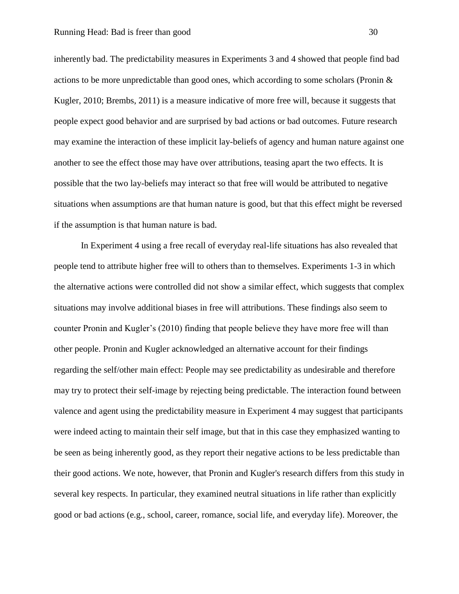inherently bad. The predictability measures in Experiments 3 and 4 showed that people find bad actions to be more unpredictable than good ones, which according to some scholars (Pronin & Kugler, 2010; Brembs, 2011) is a measure indicative of more free will, because it suggests that people expect good behavior and are surprised by bad actions or bad outcomes. Future research may examine the interaction of these implicit lay-beliefs of agency and human nature against one another to see the effect those may have over attributions, teasing apart the two effects. It is possible that the two lay-beliefs may interact so that free will would be attributed to negative situations when assumptions are that human nature is good, but that this effect might be reversed if the assumption is that human nature is bad.

In Experiment 4 using a free recall of everyday real-life situations has also revealed that people tend to attribute higher free will to others than to themselves. Experiments 1-3 in which the alternative actions were controlled did not show a similar effect, which suggests that complex situations may involve additional biases in free will attributions. These findings also seem to counter Pronin and Kugler's (2010) finding that people believe they have more free will than other people. Pronin and Kugler acknowledged an alternative account for their findings regarding the self/other main effect: People may see predictability as undesirable and therefore may try to protect their self-image by rejecting being predictable. The interaction found between valence and agent using the predictability measure in Experiment 4 may suggest that participants were indeed acting to maintain their self image, but that in this case they emphasized wanting to be seen as being inherently good, as they report their negative actions to be less predictable than their good actions. We note, however, that Pronin and Kugler's research differs from this study in several key respects. In particular, they examined neutral situations in life rather than explicitly good or bad actions (e.g., school, career, romance, social life, and everyday life). Moreover, the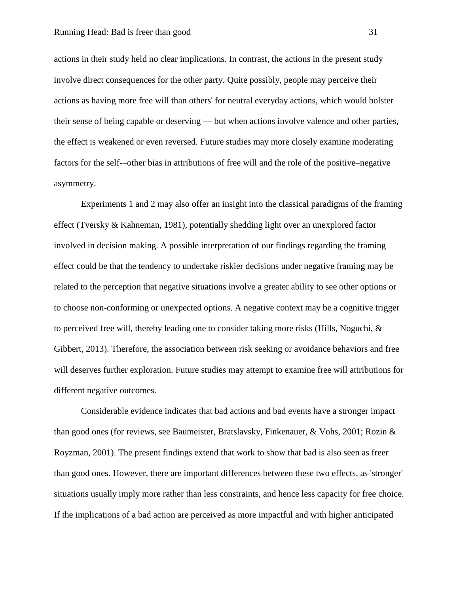actions in their study held no clear implications. In contrast, the actions in the present study involve direct consequences for the other party. Quite possibly, people may perceive their actions as having more free will than others' for neutral everyday actions, which would bolster their sense of being capable or deserving — but when actions involve valence and other parties, the effect is weakened or even reversed. Future studies may more closely examine moderating factors for the self-–other bias in attributions of free will and the role of the positive–negative asymmetry.

Experiments 1 and 2 may also offer an insight into the classical paradigms of the framing effect (Tversky & Kahneman, 1981), potentially shedding light over an unexplored factor involved in decision making. A possible interpretation of our findings regarding the framing effect could be that the tendency to undertake riskier decisions under negative framing may be related to the perception that negative situations involve a greater ability to see other options or to choose non-conforming or unexpected options. A negative context may be a cognitive trigger to perceived free will, thereby leading one to consider taking more risks (Hills, Noguchi, & Gibbert, 2013). Therefore, the association between risk seeking or avoidance behaviors and free will deserves further exploration. Future studies may attempt to examine free will attributions for different negative outcomes.

Considerable evidence indicates that bad actions and bad events have a stronger impact than good ones (for reviews, see Baumeister, Bratslavsky, Finkenauer, & Vohs, 2001; Rozin & Royzman, 2001). The present findings extend that work to show that bad is also seen as freer than good ones. However, there are important differences between these two effects, as 'stronger' situations usually imply more rather than less constraints, and hence less capacity for free choice. If the implications of a bad action are perceived as more impactful and with higher anticipated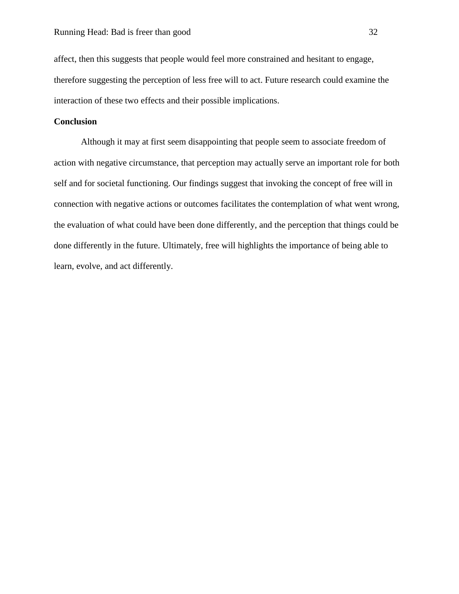affect, then this suggests that people would feel more constrained and hesitant to engage, therefore suggesting the perception of less free will to act. Future research could examine the interaction of these two effects and their possible implications.

#### **Conclusion**

Although it may at first seem disappointing that people seem to associate freedom of action with negative circumstance, that perception may actually serve an important role for both self and for societal functioning. Our findings suggest that invoking the concept of free will in connection with negative actions or outcomes facilitates the contemplation of what went wrong, the evaluation of what could have been done differently, and the perception that things could be done differently in the future. Ultimately, free will highlights the importance of being able to learn, evolve, and act differently.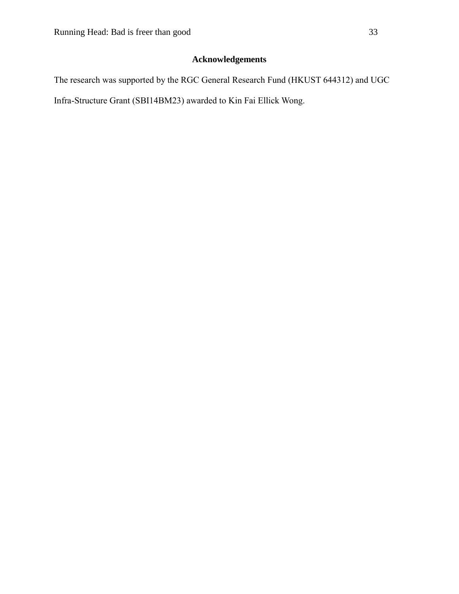# **Acknowledgements**

The research was supported by the RGC General Research Fund (HKUST 644312) and UGC

Infra-Structure Grant (SBI14BM23) awarded to Kin Fai Ellick Wong.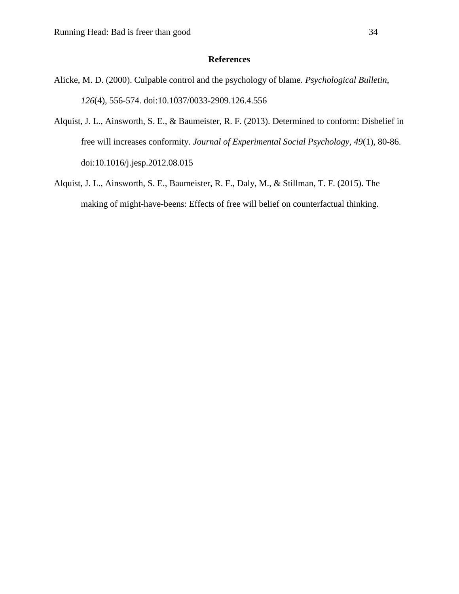## **References**

- Alicke, M. D. (2000). Culpable control and the psychology of blame. *Psychological Bulletin, 126*(4), 556-574. doi:10.1037/0033-2909.126.4.556
- Alquist, J. L., Ainsworth, S. E., & Baumeister, R. F. (2013). Determined to conform: Disbelief in free will increases conformity. *Journal of Experimental Social Psychology, 49*(1), 80-86. doi:10.1016/j.jesp.2012.08.015
- Alquist, J. L., Ainsworth, S. E., Baumeister, R. F., Daly, M., & Stillman, T. F. (2015). The making of might-have-beens: Effects of free will belief on counterfactual thinking.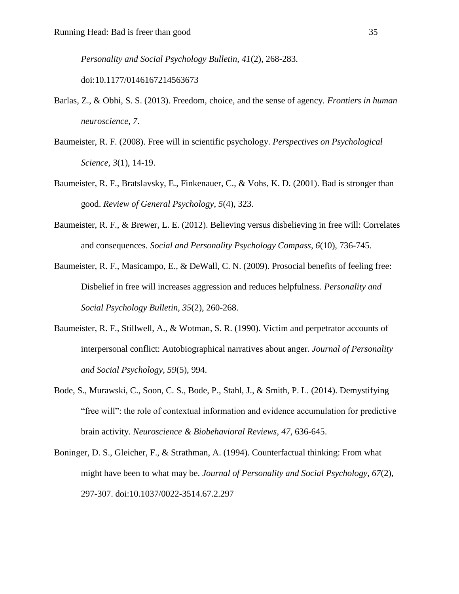*Personality and Social Psychology Bulletin, 41*(2), 268-283.

doi:10.1177/0146167214563673

- Barlas, Z., & Obhi, S. S. (2013). Freedom, choice, and the sense of agency. *Frontiers in human neuroscience*, *7*.
- Baumeister, R. F. (2008). Free will in scientific psychology. *Perspectives on Psychological Science, 3*(1), 14-19.
- Baumeister, R. F., Bratslavsky, E., Finkenauer, C., & Vohs, K. D. (2001). Bad is stronger than good. *Review of General Psychology, 5*(4), 323.
- Baumeister, R. F., & Brewer, L. E. (2012). Believing versus disbelieving in free will: Correlates and consequences. *Social and Personality Psychology Compass*, *6*(10), 736-745.
- Baumeister, R. F., Masicampo, E., & DeWall, C. N. (2009). Prosocial benefits of feeling free: Disbelief in free will increases aggression and reduces helpfulness. *Personality and Social Psychology Bulletin, 35*(2), 260-268.
- Baumeister, R. F., Stillwell, A., & Wotman, S. R. (1990). Victim and perpetrator accounts of interpersonal conflict: Autobiographical narratives about anger. *Journal of Personality and Social Psychology, 59*(5), 994.
- Bode, S., Murawski, C., Soon, C. S., Bode, P., Stahl, J., & Smith, P. L. (2014). Demystifying "free will": the role of contextual information and evidence accumulation for predictive brain activity. *Neuroscience & Biobehavioral Reviews*, *47*, 636-645.
- Boninger, D. S., Gleicher, F., & Strathman, A. (1994). Counterfactual thinking: From what might have been to what may be. *Journal of Personality and Social Psychology, 67*(2), 297-307. doi:10.1037/0022-3514.67.2.297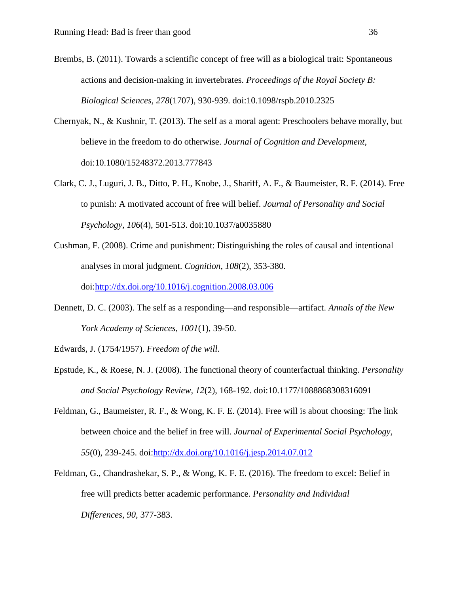- Brembs, B. (2011). Towards a scientific concept of free will as a biological trait: Spontaneous actions and decision-making in invertebrates. *Proceedings of the Royal Society B: Biological Sciences, 278*(1707), 930-939. doi:10.1098/rspb.2010.2325
- Chernyak, N., & Kushnir, T. (2013). The self as a moral agent: Preschoolers behave morally, but believe in the freedom to do otherwise. *Journal of Cognition and Development,*  doi:10.1080/15248372.2013.777843
- Clark, C. J., Luguri, J. B., Ditto, P. H., Knobe, J., Shariff, A. F., & Baumeister, R. F. (2014). Free to punish: A motivated account of free will belief. *Journal of Personality and Social Psychology, 106*(4), 501-513. doi:10.1037/a0035880
- Cushman, F. (2008). Crime and punishment: Distinguishing the roles of causal and intentional analyses in moral judgment. *Cognition, 108*(2), 353-380. doi[:http://dx.doi.org/10.1016/j.cognition.2008.03.006](http://dx.doi.org/10.1016/j.cognition.2008.03.006)
- Dennett, D. C. (2003). The self as a responding—and responsible—artifact. *Annals of the New York Academy of Sciences, 1001*(1), 39-50.
- Edwards, J. (1754/1957). *Freedom of the will*.
- Epstude, K., & Roese, N. J. (2008). The functional theory of counterfactual thinking. *Personality and Social Psychology Review, 12*(2), 168-192. doi:10.1177/1088868308316091
- Feldman, G., Baumeister, R. F., & Wong, K. F. E. (2014). Free will is about choosing: The link between choice and the belief in free will. *Journal of Experimental Social Psychology, 55*(0), 239-245. doi[:http://dx.doi.org/10.1016/j.jesp.2014.07.012](http://dx.doi.org/10.1016/j.jesp.2014.07.012)
- Feldman, G., Chandrashekar, S. P., & Wong, K. F. E. (2016). The freedom to excel: Belief in free will predicts better academic performance. *Personality and Individual Differences*, *90*, 377-383.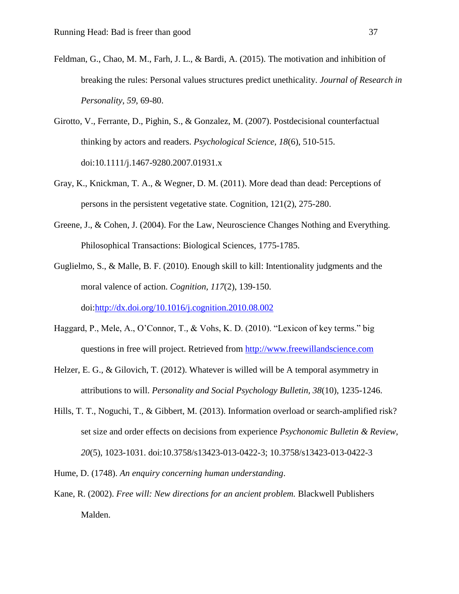- Feldman, G., Chao, M. M., Farh, J. L., & Bardi, A. (2015). The motivation and inhibition of breaking the rules: Personal values structures predict unethicality. *Journal of Research in Personality*, *59*, 69-80.
- Girotto, V., Ferrante, D., Pighin, S., & Gonzalez, M. (2007). Postdecisional counterfactual thinking by actors and readers. *Psychological Science, 18*(6), 510-515. doi:10.1111/j.1467-9280.2007.01931.x
- Gray, K., Knickman, T. A., & Wegner, D. M. (2011). More dead than dead: Perceptions of persons in the persistent vegetative state. Cognition, 121(2), 275-280.
- Greene, J., & Cohen, J. (2004). For the Law, Neuroscience Changes Nothing and Everything. Philosophical Transactions: Biological Sciences, 1775-1785.
- Guglielmo, S., & Malle, B. F. (2010). Enough skill to kill: Intentionality judgments and the moral valence of action. *Cognition, 117*(2), 139-150. doi[:http://dx.doi.org/10.1016/j.cognition.2010.08.002](http://dx.doi.org/10.1016/j.cognition.2010.08.002)
- Haggard, P., Mele, A., O'Connor, T., & Vohs, K. D. (2010). "Lexicon of key terms." big questions in free will project. Retrieved from [http://www.freewillandscience.com](http://www.freewillandscience.com/)
- Helzer, E. G., & Gilovich, T. (2012). Whatever is willed will be A temporal asymmetry in attributions to will. *Personality and Social Psychology Bulletin, 38*(10), 1235-1246.
- Hills, T. T., Noguchi, T., & Gibbert, M. (2013). Information overload or search-amplified risk? set size and order effects on decisions from experience *Psychonomic Bulletin & Review, 20*(5), 1023-1031. doi:10.3758/s13423-013-0422-3; 10.3758/s13423-013-0422-3
- Hume, D. (1748). *An enquiry concerning human understanding*.
- Kane, R. (2002). *Free will: New directions for an ancient problem.* Blackwell Publishers Malden.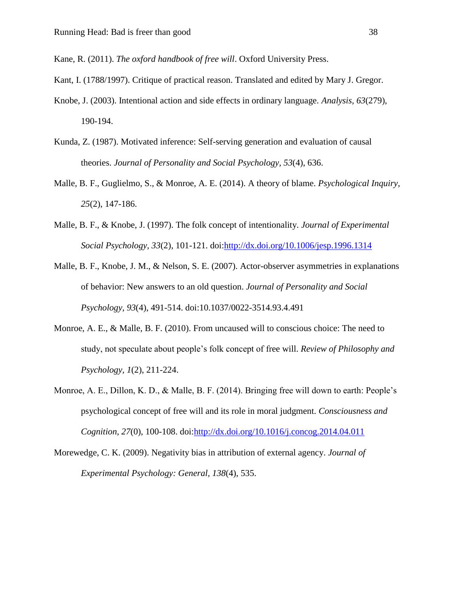Kane, R. (2011). *The oxford handbook of free will*. Oxford University Press.

- Kant, I. (1788/1997). Critique of practical reason. Translated and edited by Mary J. Gregor.
- Knobe, J. (2003). Intentional action and side effects in ordinary language. *Analysis, 63*(279), 190-194.
- Kunda, Z. (1987). Motivated inference: Self-serving generation and evaluation of causal theories. *Journal of Personality and Social Psychology, 53*(4), 636.
- Malle, B. F., Guglielmo, S., & Monroe, A. E. (2014). A theory of blame. *Psychological Inquiry, 25*(2), 147-186.
- Malle, B. F., & Knobe, J. (1997). The folk concept of intentionality. *Journal of Experimental Social Psychology, 33*(2), 101-121. doi[:http://dx.doi.org/10.1006/jesp.1996.1314](http://dx.doi.org/10.1006/jesp.1996.1314)
- Malle, B. F., Knobe, J. M., & Nelson, S. E. (2007). Actor-observer asymmetries in explanations of behavior: New answers to an old question. *Journal of Personality and Social Psychology, 93*(4), 491-514. doi:10.1037/0022-3514.93.4.491
- Monroe, A. E., & Malle, B. F. (2010). From uncaused will to conscious choice: The need to study, not speculate about people's folk concept of free will. *Review of Philosophy and Psychology, 1*(2), 211-224.
- Monroe, A. E., Dillon, K. D., & Malle, B. F. (2014). Bringing free will down to earth: People's psychological concept of free will and its role in moral judgment. *Consciousness and Cognition, 27*(0), 100-108. doi[:http://dx.doi.org/10.1016/j.concog.2014.04.011](http://dx.doi.org/10.1016/j.concog.2014.04.011)
- Morewedge, C. K. (2009). Negativity bias in attribution of external agency. *Journal of Experimental Psychology: General, 138*(4), 535.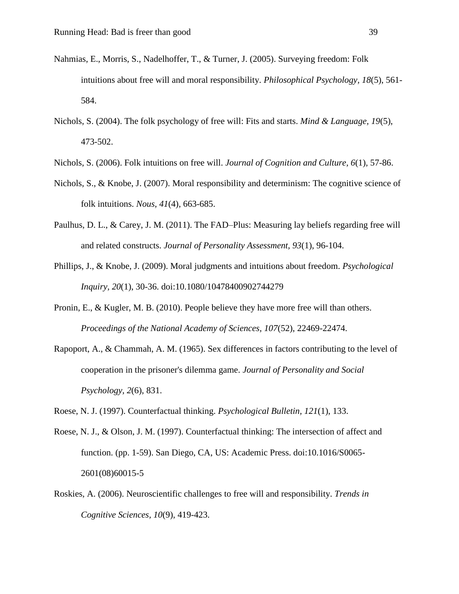- Nahmias, E., Morris, S., Nadelhoffer, T., & Turner, J. (2005). Surveying freedom: Folk intuitions about free will and moral responsibility. *Philosophical Psychology, 18*(5), 561- 584.
- Nichols, S. (2004). The folk psychology of free will: Fits and starts. *Mind & Language, 19*(5), 473-502.
- Nichols, S. (2006). Folk intuitions on free will. *Journal of Cognition and Culture, 6*(1), 57-86.
- Nichols, S., & Knobe, J. (2007). Moral responsibility and determinism: The cognitive science of folk intuitions. *Nous*, *41*(4), 663-685.
- Paulhus, D. L., & Carey, J. M. (2011). The FAD–Plus: Measuring lay beliefs regarding free will and related constructs. *Journal of Personality Assessment, 93*(1), 96-104.
- Phillips, J., & Knobe, J. (2009). Moral judgments and intuitions about freedom. *Psychological Inquiry, 20*(1), 30-36. doi:10.1080/10478400902744279
- Pronin, E., & Kugler, M. B. (2010). People believe they have more free will than others. *Proceedings of the National Academy of Sciences, 107*(52), 22469-22474.
- Rapoport, A., & Chammah, A. M. (1965). Sex differences in factors contributing to the level of cooperation in the prisoner's dilemma game. *Journal of Personality and Social Psychology, 2*(6), 831.
- Roese, N. J. (1997). Counterfactual thinking. *Psychological Bulletin, 121*(1), 133.
- Roese, N. J., & Olson, J. M. (1997). Counterfactual thinking: The intersection of affect and function. (pp. 1-59). San Diego, CA, US: Academic Press. doi:10.1016/S0065- 2601(08)60015-5
- Roskies, A. (2006). Neuroscientific challenges to free will and responsibility. *Trends in Cognitive Sciences, 10*(9), 419-423.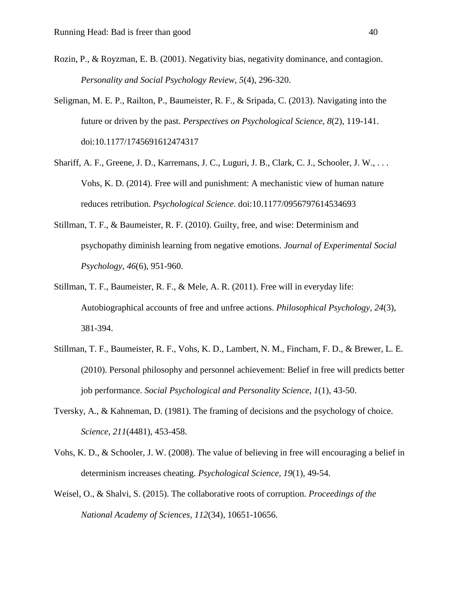- Rozin, P., & Royzman, E. B. (2001). Negativity bias, negativity dominance, and contagion. *Personality and Social Psychology Review, 5*(4), 296-320.
- Seligman, M. E. P., Railton, P., Baumeister, R. F., & Sripada, C. (2013). Navigating into the future or driven by the past. *Perspectives on Psychological Science, 8*(2), 119-141. doi:10.1177/1745691612474317
- Shariff, A. F., Greene, J. D., Karremans, J. C., Luguri, J. B., Clark, C. J., Schooler, J. W., . . . Vohs, K. D. (2014). Free will and punishment: A mechanistic view of human nature reduces retribution. *Psychological Science*. doi:10.1177/0956797614534693
- Stillman, T. F., & Baumeister, R. F. (2010). Guilty, free, and wise: Determinism and psychopathy diminish learning from negative emotions. *Journal of Experimental Social Psychology, 46*(6), 951-960.
- Stillman, T. F., Baumeister, R. F., & Mele, A. R. (2011). Free will in everyday life: Autobiographical accounts of free and unfree actions. *Philosophical Psychology, 24*(3), 381-394.
- Stillman, T. F., Baumeister, R. F., Vohs, K. D., Lambert, N. M., Fincham, F. D., & Brewer, L. E. (2010). Personal philosophy and personnel achievement: Belief in free will predicts better job performance. *Social Psychological and Personality Science*, *1*(1), 43-50.
- Tversky, A., & Kahneman, D. (1981). The framing of decisions and the psychology of choice. *Science, 211*(4481), 453-458.
- Vohs, K. D., & Schooler, J. W. (2008). The value of believing in free will encouraging a belief in determinism increases cheating. *Psychological Science, 19*(1), 49-54.
- Weisel, O., & Shalvi, S. (2015). The collaborative roots of corruption. *Proceedings of the National Academy of Sciences*, *112*(34), 10651-10656.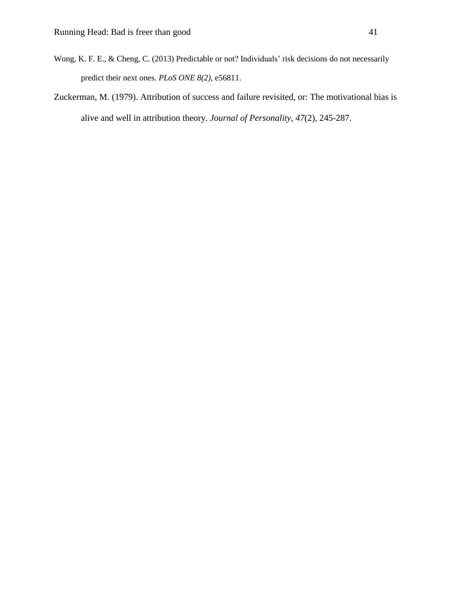- Wong, K. F. E., & Cheng, C. (2013) Predictable or not? Individuals' risk decisions do not necessarily predict their next ones. *PLoS ONE 8(2),* e56811.
- Zuckerman, M. (1979). Attribution of success and failure revisited, or: The motivational bias is alive and well in attribution theory. *Journal of Personality, 47*(2), 245-287.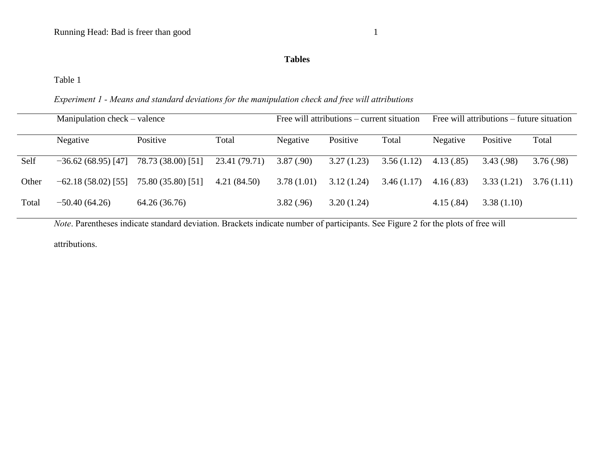## Table 1

*Experiment 1 - Means and standard deviations for the manipulation check and free will attributions* 

|       | Manipulation check – valence | Free will attributions – current situation |               |            | Free will attributions – future situation |            |           |            |            |
|-------|------------------------------|--------------------------------------------|---------------|------------|-------------------------------------------|------------|-----------|------------|------------|
|       | Negative                     | Positive                                   | Total         | Negative   | Positive                                  | Total      | Negative  | Positive   | Total      |
| Self  | $-36.62(68.95)[47]$          | 78.73 (38.00) [51]                         | 23.41 (79.71) | 3.87(.90)  | 3.27(1.23)                                | 3.56(1.12) | 4.13(.85) | 3.43(0.98) | 3.76(.98)  |
| Other | $-62.18(58.02)[55]$          | 75.80 (35.80) [51]                         | 4.21(84.50)   | 3.78(1.01) | 3.12(1.24)                                | 3.46(1.17) | 4.16(.83) | 3.33(1.21) | 3.76(1.11) |
| Total | $-50.40(64.26)$              | 64.26 (36.76)                              |               | 3.82(.96)  | 3.20(1.24)                                |            | 4.15(.84) | 3.38(1.10) |            |

<span id="page-41-0"></span>*Note*. Parentheses indicate standard deviation. Brackets indicate number of participants. See [Figure 2](#page-48-1) for the plots of free will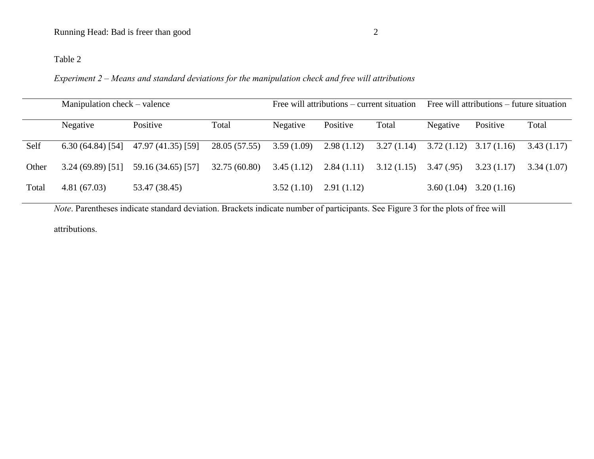## *Experiment 2 – Means and standard deviations for the manipulation check and free will attributions*

|       | Manipulation check – valence |                    |               | Free will attributions – current situation |            |            | Free will attributions – future situation |                           |            |
|-------|------------------------------|--------------------|---------------|--------------------------------------------|------------|------------|-------------------------------------------|---------------------------|------------|
|       | Negative                     | Positive           | Total         | Negative                                   | Positive   | Total      | Negative                                  | Positive                  | Total      |
| Self  | 6.30(64.84)[54]              | 47.97 (41.35) [59] | 28.05 (57.55) | 3.59(1.09)                                 | 2.98(1.12) | 3.27(1.14) | $3.72(1.12)$ $3.17(1.16)$                 |                           | 3.43(1.17) |
| Other | 3.24(69.89)[51]              | 59.16 (34.65) [57] | 32.75 (60.80) | 3.45(1.12)                                 | 2.84(1.11) | 3.12(1.15) | 3.47(.95)                                 | 3.23(1.17)                | 3.34(1.07) |
| Total | 4.81(67.03)                  | 53.47 (38.45)      |               | 3.52(1.10)                                 | 2.91(1.12) |            |                                           | $3.60(1.04)$ $3.20(1.16)$ |            |

<span id="page-42-0"></span>*Note*. Parentheses indicate standard deviation. Brackets indicate number of participants. See [Figure 3](#page-49-1) for the plots of free will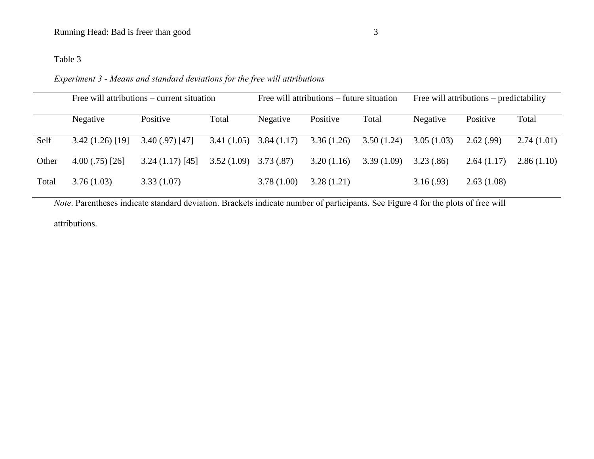## *Experiment 3 - Means and standard deviations for the free will attributions*

|       | Free will attributions – current situation |                   |            | Free will attributions – future situation |            |            | Free will attributions – predictability |            |            |
|-------|--------------------------------------------|-------------------|------------|-------------------------------------------|------------|------------|-----------------------------------------|------------|------------|
|       | Negative                                   | Positive          | Total      | Negative                                  | Positive   | Total      | Negative                                | Positive   | Total      |
| Self  | $3.42(1.26)$ [19]                          | $3.40(.97)$ [47]  | 3.41(1.05) | 3.84(1.17)                                | 3.36(1.26) | 3.50(1.24) | 3.05(1.03)                              | 2.62(.99)  | 2.74(1.01) |
| Other | $4.00(.75)$ [26]                           | $3.24(1.17)$ [45] | 3.52(1.09) | 3.73(.87)                                 | 3.20(1.16) | 3.39(1.09) | 3.23(.86)                               | 2.64(1.17) | 2.86(1.10) |
| Total | 3.76(1.03)                                 | 3.33(1.07)        |            | 3.78(1.00)                                | 3.28(1.21) |            | 3.16(.93)                               | 2.63(1.08) |            |

<span id="page-43-0"></span>*Note*. Parentheses indicate standard deviation. Brackets indicate number of participants. See [Figure 4](#page-50-1) for the plots of free will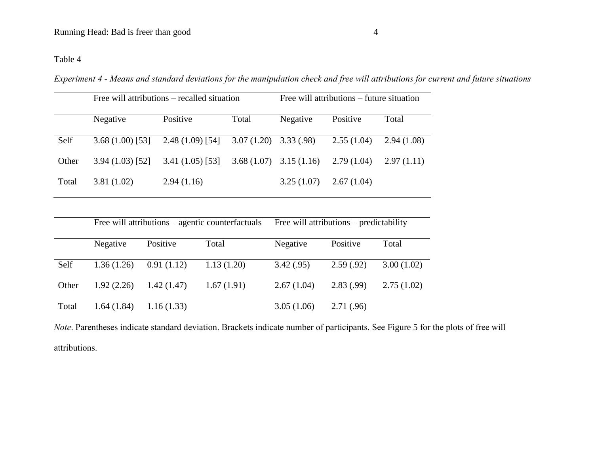*Experiment 4 - Means and standard deviations for the manipulation check and free will attributions for current and future situations*

|       |                   | Free will attributions – recalled situation | Free will attributions – future situation |            |            |            |
|-------|-------------------|---------------------------------------------|-------------------------------------------|------------|------------|------------|
|       | Negative          | Positive                                    | Total                                     | Negative   | Positive   | Total      |
| Self  | $3.68(1.00)$ [53] | $2.48(1.09)$ [54]                           | 3.07(1.20)                                | 3.33(0.98) | 2.55(1.04) | 2.94(1.08) |
| Other | $3.94(1.03)$ [52] | $3.41(1.05)$ [53]                           | 3.68(1.07)                                | 3.15(1.16) | 2.79(1.04) | 2.97(1.11) |
| Total | 3.81(1.02)        | 2.94(1.16)                                  |                                           | 3.25(1.07) | 2.67(1.04) |            |

<span id="page-44-0"></span>

|       |            |            | Free will attributions – agentic counterfactuals | Free will attributions – predictability |           |            |  |
|-------|------------|------------|--------------------------------------------------|-----------------------------------------|-----------|------------|--|
|       | Negative   | Positive   | Total                                            | Negative                                | Positive  | Total      |  |
| Self  | 1.36(1.26) | 0.91(1.12) | 1.13(1.20)                                       | 3.42(.95)                               | 2.59(.92) | 3.00(1.02) |  |
| Other | 1.92(2.26) | 1.42(1.47) | 1.67(1.91)                                       | 2.67(1.04)                              | 2.83(.99) | 2.75(1.02) |  |
| Total | 1.64(1.84) | 1.16(1.33) |                                                  | 3.05(1.06)                              | 2.71(.96) |            |  |

*Note*. Parentheses indicate standard deviation. Brackets indicate number of participants. See [Figure 5](#page-51-1) for the plots of free will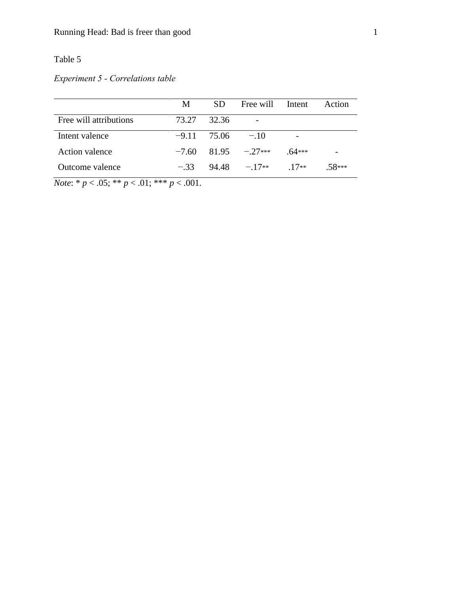# <span id="page-45-0"></span>*Experiment 5 - Correlations table*

|                        | M     | SD.           | Free will Intent       |         | Action |
|------------------------|-------|---------------|------------------------|---------|--------|
| Free will attributions | 73.27 | -32.36        |                        |         |        |
| Intent valence         |       | $-9.11$ 75.06 | $-10$                  |         |        |
| <b>Action valence</b>  |       |               | $-7.60$ 81.95 $-27***$ | $64***$ |        |
| Outcome valence        | $-33$ |               | $94.48 - 17**$         | $17**$  | .58*** |

*Note*: \*  $p < .05$ ; \*\*  $p < .01$ ; \*\*\*  $p < .001$ .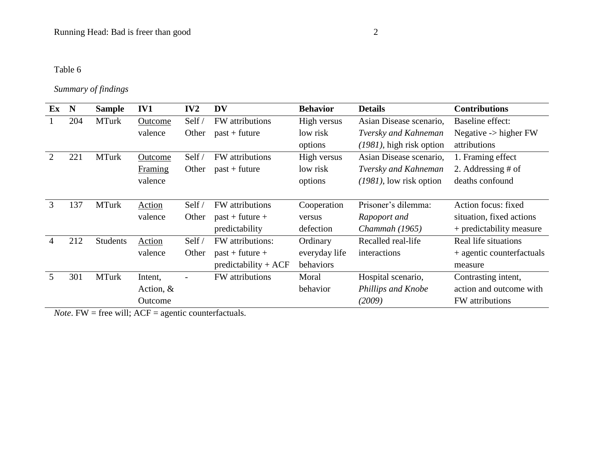## *Summary of findings*

<span id="page-46-0"></span>

| Ex             | N   | <b>Sample</b> | IV1         | IV2                           | <b>DV</b>              | <b>Behavior</b> | <b>Details</b>              | <b>Contributions</b>             |
|----------------|-----|---------------|-------------|-------------------------------|------------------------|-----------------|-----------------------------|----------------------------------|
|                | 204 | <b>MTurk</b>  | Outcome     | Self                          | FW attributions        | High versus     | Asian Disease scenario,     | Baseline effect:                 |
|                |     |               | valence     | Other                         | $past + future$        | low risk        | Tversky and Kahneman        | Negative $\rightarrow$ higher FW |
|                |     |               |             |                               |                        | options         | $(1981)$ , high risk option | attributions                     |
| 2              | 221 | <b>MTurk</b>  | Outcome     | Self $\overline{\phantom{a}}$ | FW attributions        | High versus     | Asian Disease scenario,     | 1. Framing effect                |
|                |     |               | Framing     | Other                         | $past + future$        | low risk        | Tversky and Kahneman        | 2. Addressing # of               |
|                |     |               | valence     |                               |                        | options         | $(1981)$ , low risk option  | deaths confound                  |
|                |     |               |             |                               |                        |                 |                             |                                  |
| 3              | 137 | <b>MTurk</b>  | Action      | Self/                         | FW attributions        | Cooperation     | Prisoner's dilemma:         | Action focus: fixed              |
|                |     |               | valence     | Other                         | $past + future +$      | versus          | Rapoport and                | situation, fixed actions         |
|                |     |               |             |                               | predictability         | defection       | Chammah (1965)              | + predictability measure         |
| $\overline{4}$ | 212 | Students      | Action      | Self/                         | FW attributions:       | Ordinary        | Recalled real-life          | Real life situations             |
|                |     |               | valence     | Other                         | $past + future +$      | everyday life   | interactions                | + agentic counterfactuals        |
|                |     |               |             |                               | $predictability + ACF$ | behaviors       |                             | measure                          |
| 5              | 301 | <b>MTurk</b>  | Intent,     |                               | FW attributions        | Moral           | Hospital scenario,          | Contrasting intent,              |
|                |     |               | Action, $&$ |                               |                        | behavior        | Phillips and Knobe          | action and outcome with          |
|                |     |               | Outcome     |                               |                        |                 | (2009)                      | FW attributions                  |

*Note*. FW = free will; ACF = agentic counterfactuals.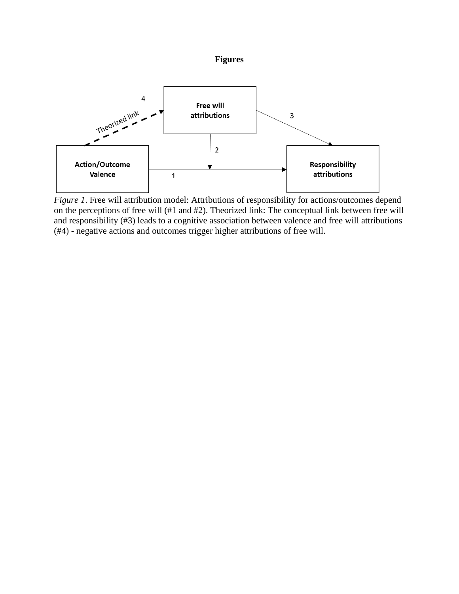



<span id="page-47-0"></span>*Figure 1*. Free will attribution model: Attributions of responsibility for actions/outcomes depend on the perceptions of free will (#1 and #2). Theorized link: The conceptual link between free will and responsibility (#3) leads to a cognitive association between valence and free will attributions (#4) - negative actions and outcomes trigger higher attributions of free will.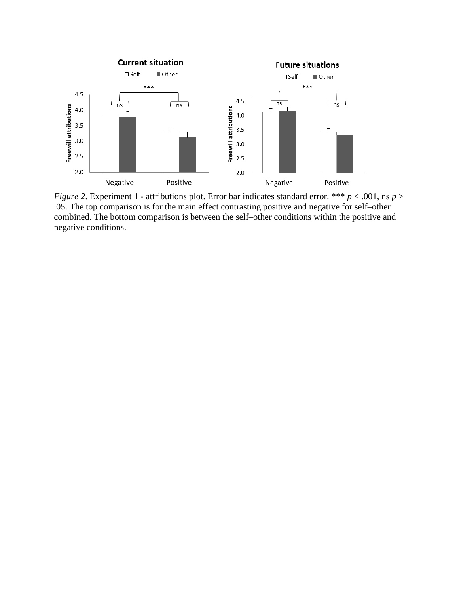<span id="page-48-1"></span>

<span id="page-48-0"></span>*Figure 2*. Experiment 1 - attributions plot. Error bar indicates standard error. \*\*\* *p* < .001, ns *p* > .05. The top comparison is for the main effect contrasting positive and negative for self–other combined. The bottom comparison is between the self–other conditions within the positive and negative conditions.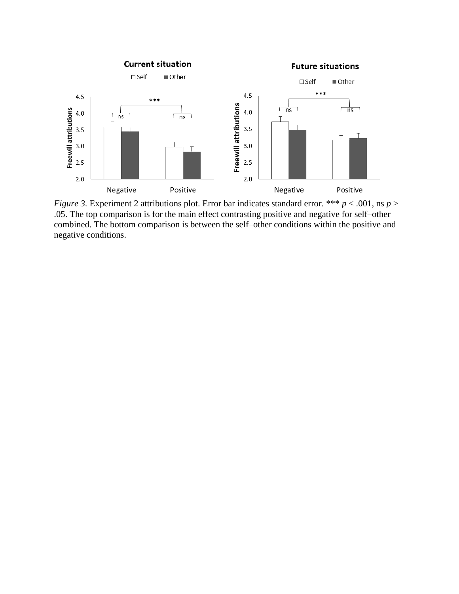<span id="page-49-1"></span>

<span id="page-49-0"></span>*Figure 3.* Experiment 2 attributions plot. Error bar indicates standard error. \*\*\* *p* < .001, ns *p* > .05. The top comparison is for the main effect contrasting positive and negative for self–other combined. The bottom comparison is between the self–other conditions within the positive and negative conditions.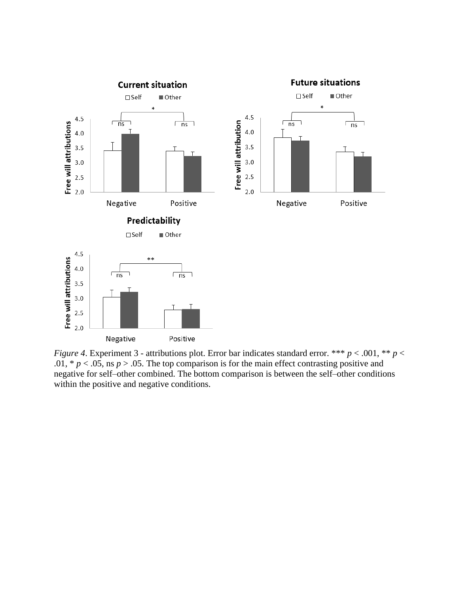

<span id="page-50-1"></span><span id="page-50-0"></span>*Figure 4*. Experiment 3 - attributions plot. Error bar indicates standard error. \*\*\* *p* < .001, \*\* *p* < .01,  $* p < .05$ , ns  $p > .05$ . The top comparison is for the main effect contrasting positive and negative for self–other combined. The bottom comparison is between the self–other conditions within the positive and negative conditions.